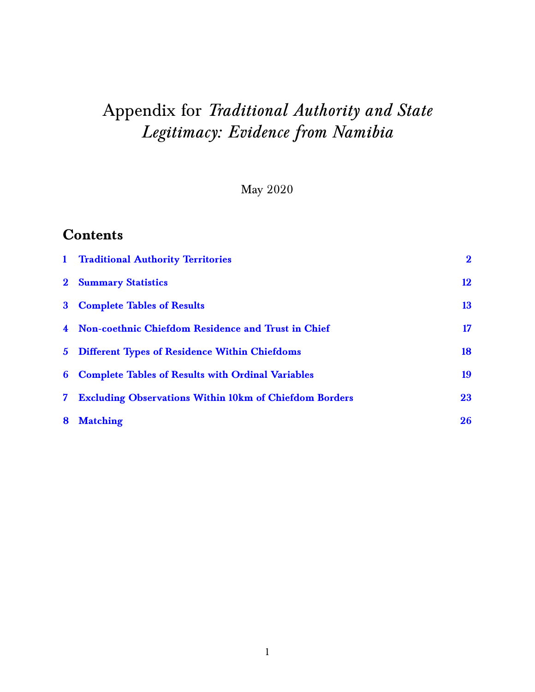# Appendix for *Traditional Authority and State Legitimacy: Evidence from Namibia*

May 2020

## **Contents**

| $\mathbf{1}$   | <b>Traditional Authority Territories</b>                      | $\mathbf{2}$ |
|----------------|---------------------------------------------------------------|--------------|
|                | 2 Summary Statistics                                          | 12           |
|                | 3 Complete Tables of Results                                  | 13           |
|                | 4 Non-coethnic Chiefdom Residence and Trust in Chief          | 17           |
|                | 5 Different Types of Residence Within Chiefdoms               | 18           |
| 6              | <b>Complete Tables of Results with Ordinal Variables</b>      | 19           |
| 7 <sup>1</sup> | <b>Excluding Observations Within 10km of Chiefdom Borders</b> | 23           |
| 8              | <b>Matching</b>                                               | 26           |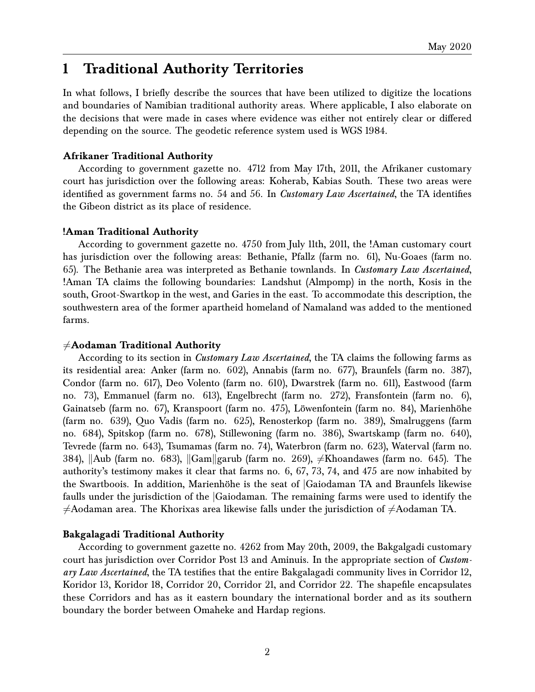## <span id="page-1-0"></span>**1 Traditional Authority Territories**

In what follows, I briefly describe the sources that have been utilized to digitize the locations and boundaries of Namibian traditional authority areas. Where applicable, I also elaborate on the decisions that were made in cases where evidence was either not entirely clear or differed depending on the source. The geodetic reference system used is WGS 1984.

#### **Afrikaner Traditional Authority**

According to government gazette no. 4712 from May 17th, 2011, the Afrikaner customary court has jurisdiction over the following areas: Koherab, Kabias South. These two areas were identified as government farms no. 54 and 56. In *Customary Law Ascertained*, the TA identifies the Gibeon district as its place of residence.

#### **!Aman Traditional Authority**

According to government gazette no. 4750 from July 11th, 2011, the !Aman customary court has jurisdiction over the following areas: Bethanie, Pfallz (farm no. 61), Nu-Goaes (farm no. 65). The Bethanie area was interpreted as Bethanie townlands. In *Customary Law Ascertained*, !Aman TA claims the following boundaries: Landshut (Almpomp) in the north, Kosis in the south, Groot-Swartkop in the west, and Garies in the east. To accommodate this description, the southwestern area of the former apartheid homeland of Namaland was added to the mentioned farms.

#### 6=**Aodaman Traditional Authority**

According to its section in *Customary Law Ascertained*, the TA claims the following farms as its residential area: Anker (farm no. 602), Annabis (farm no. 677), Braunfels (farm no. 387), Condor (farm no. 617), Deo Volento (farm no. 610), Dwarstrek (farm no. 611), Eastwood (farm no. 73), Emmanuel (farm no. 613), Engelbrecht (farm no. 272), Fransfontein (farm no. 6), Gainatseb (farm no. 67), Kranspoort (farm no. 475), Löwenfontein (farm no. 84), Marienhöhe (farm no. 639), Quo Vadis (farm no. 625), Renosterkop (farm no. 389), Smalruggens (farm no. 684), Spitskop (farm no. 678), Stillewoning (farm no. 386), Swartskamp (farm no. 640), Tevrede (farm no. 643), Tsumamas (farm no. 74), Waterbron (farm no. 623), Waterval (farm no. 384), ||Aub (farm no. 683), ||Gam||garub (farm no. 269),  $\neq$ Khoandawes (farm no. 645). The authority's testimony makes it clear that farms no. 6, 67, 73, 74, and 475 are now inhabited by the Swartboois. In addition, Marienhöhe is the seat of |Gaiodaman TA and Braunfels likewise faulls under the jurisdiction of the |Gaiodaman. The remaining farms were used to identify the  $\neq$ Aodaman area. The Khorixas area likewise falls under the jurisdiction of  $\neq$ Aodaman TA.

#### **Bakgalagadi Traditional Authority**

According to government gazette no. 4262 from May 20th, 2009, the Bakgalgadi customary court has jurisdiction over Corridor Post 13 and Aminuis. In the appropriate section of *Customary Law Ascertained*, the TA testifies that the entire Bakgalagadi community lives in Corridor 12, Koridor 13, Koridor 18, Corridor 20, Corridor 21, and Corridor 22. The shapefile encapsulates these Corridors and has as it eastern boundary the international border and as its southern boundary the border between Omaheke and Hardap regions.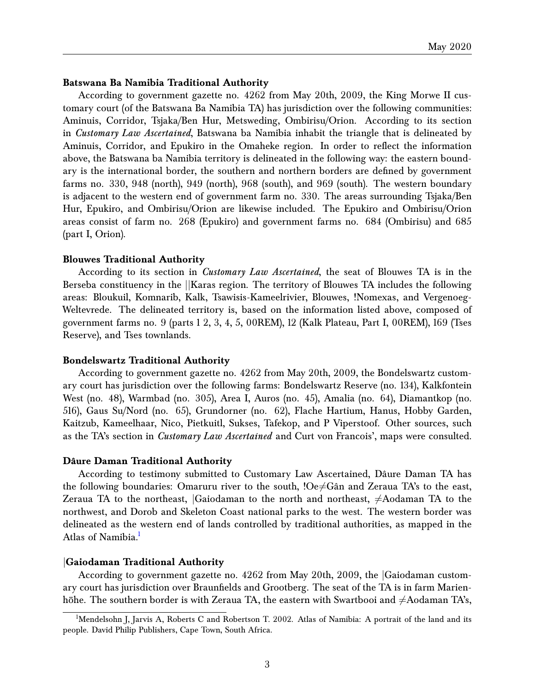#### **Batswana Ba Namibia Traditional Authority**

According to government gazette no. 4262 from May 20th, 2009, the King Morwe II customary court (of the Batswana Ba Namibia TA) has jurisdiction over the following communities: Aminuis, Corridor, Tsjaka/Ben Hur, Metsweding, Ombirisu/Orion. According to its section in *Customary Law Ascertained*, Batswana ba Namibia inhabit the triangle that is delineated by Aminuis, Corridor, and Epukiro in the Omaheke region. In order to reflect the information above, the Batswana ba Namibia territory is delineated in the following way: the eastern boundary is the international border, the southern and northern borders are defined by government farms no. 330, 948 (north), 949 (north), 968 (south), and 969 (south). The western boundary is adjacent to the western end of government farm no. 330. The areas surrounding Tsjaka/Ben Hur, Epukiro, and Ombirisu/Orion are likewise included. The Epukiro and Ombirisu/Orion areas consist of farm no. 268 (Epukiro) and government farms no. 684 (Ombirisu) and 685 (part I, Orion).

#### **Blouwes Traditional Authority**

According to its section in *Customary Law Ascertained*, the seat of Blouwes TA is in the Berseba constituency in the ||Karas region. The territory of Blouwes TA includes the following areas: Bloukuil, Komnarib, Kalk, Tsawisis-Kameelrivier, Blouwes, !Nomexas, and Vergenoeg-Weltevrede. The delineated territory is, based on the information listed above, composed of government farms no. 9 (parts 1 2, 3, 4, 5, 00REM), 12 (Kalk Plateau, Part I, 00REM), 169 (Tses Reserve), and Tses townlands.

#### **Bondelswartz Traditional Authority**

According to government gazette no. 4262 from May 20th, 2009, the Bondelswartz customary court has jurisdiction over the following farms: Bondelswartz Reserve (no. 134), Kalkfontein West (no. 48), Warmbad (no. 305), Area I, Auros (no. 45), Amalia (no. 64), Diamantkop (no. 516), Gaus Su/Nord (no. 65), Grundorner (no. 62), Flache Hartium, Hanus, Hobby Garden, Kaitzub, Kameelhaar, Nico, Pietkuitl, Sukses, Tafekop, and P Viperstoof. Other sources, such as the TA's section in *Customary Law Ascertained* and Curt von Francois', maps were consulted.

#### **Dâure Daman Traditional Authority**

According to testimony submitted to Customary Law Ascertained, Dâure Daman TA has the following boundaries: Omaruru river to the south,  $!Oe\neq G$ ân and Zeraua TA's to the east, Zeraua TA to the northeast, Gaiodaman to the north and northeast,  $\neq$ Aodaman TA to the northwest, and Dorob and Skeleton Coast national parks to the west. The western border was delineated as the western end of lands controlled by traditional authorities, as mapped in the Atlas of Namibia.<sup>[1](#page-2-0)</sup>

#### |**Gaiodaman Traditional Authority**

According to government gazette no. 4262 from May 20th, 2009, the |Gaiodaman customary court has jurisdiction over Braunfields and Grootberg. The seat of the TA is in farm Marienhöhe. The southern border is with Zeraua TA, the eastern with Swartbooi and  $\neq$ Aodaman TA's,

<span id="page-2-0"></span><sup>&</sup>lt;sup>1</sup>Mendelsohn J, Jarvis A, Roberts C and Robertson T. 2002. Atlas of Namibia: A portrait of the land and its people. David Philip Publishers, Cape Town, South Africa.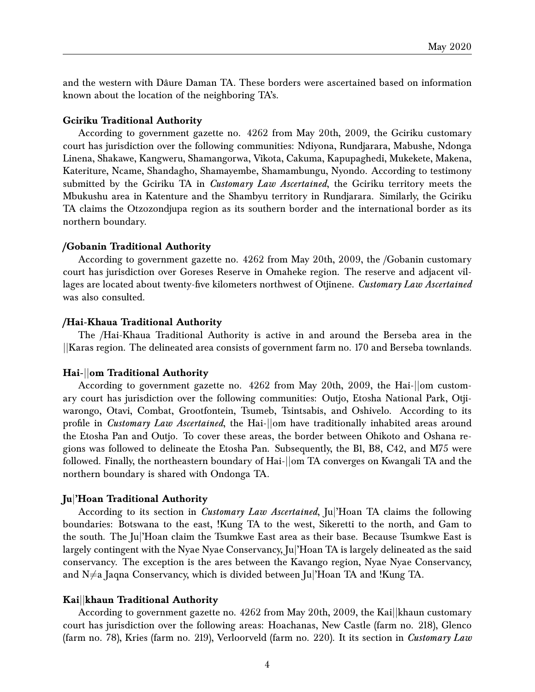and the western with Dâure Daman TA. These borders were ascertained based on information known about the location of the neighboring TA's.

#### **Gciriku Traditional Authority**

According to government gazette no. 4262 from May 20th, 2009, the Gciriku customary court has jurisdiction over the following communities: Ndiyona, Rundjarara, Mabushe, Ndonga Linena, Shakawe, Kangweru, Shamangorwa, Vikota, Cakuma, Kapupaghedi, Mukekete, Makena, Kateriture, Ncame, Shandagho, Shamayembe, Shamambungu, Nyondo. According to testimony submitted by the Gciriku TA in *Customary Law Ascertained*, the Gciriku territory meets the Mbukushu area in Katenture and the Shambyu territory in Rundjarara. Similarly, the Gciriku TA claims the Otzozondjupa region as its southern border and the international border as its northern boundary.

#### **/Gobanin Traditional Authority**

According to government gazette no. 4262 from May 20th, 2009, the /Gobanin customary court has jurisdiction over Goreses Reserve in Omaheke region. The reserve and adjacent villages are located about twenty-five kilometers northwest of Otjinene. *Customary Law Ascertained* was also consulted.

#### **/Hai-Khaua Traditional Authority**

The /Hai-Khaua Traditional Authority is active in and around the Berseba area in the ||Karas region. The delineated area consists of government farm no. 170 and Berseba townlands.

#### **Hai-**||**om Traditional Authority**

According to government gazette no. 4262 from May 20th, 2009, the Hai-||om customary court has jurisdiction over the following communities: Outjo, Etosha National Park, Otjiwarongo, Otavi, Combat, Grootfontein, Tsumeb, Tsintsabis, and Oshivelo. According to its profile in *Customary Law Ascertained*, the Hai-||om have traditionally inhabited areas around the Etosha Pan and Outjo. To cover these areas, the border between Ohikoto and Oshana regions was followed to delineate the Etosha Pan. Subsequently, the B1, B8, C42, and M75 were followed. Finally, the northeastern boundary of Hai-||om TA converges on Kwangali TA and the northern boundary is shared with Ondonga TA.

#### **Ju**|**'Hoan Traditional Authority**

According to its section in *Customary Law Ascertained*, Ju|'Hoan TA claims the following boundaries: Botswana to the east, !Kung TA to the west, Sikeretti to the north, and Gam to the south. The Ju|'Hoan claim the Tsumkwe East area as their base. Because Tsumkwe East is largely contingent with the Nyae Nyae Conservancy, Ju<sup>'</sup>Hoan TA is largely delineated as the said conservancy. The exception is the ares between the Kavango region, Nyae Nyae Conservancy, and  $N \neq a$  Jaqna Conservancy, which is divided between Ju|'Hoan TA and !Kung TA.

#### **Kai**||**khaun Traditional Authority**

According to government gazette no. 4262 from May 20th, 2009, the Kai||khaun customary court has jurisdiction over the following areas: Hoachanas, New Castle (farm no. 218), Glenco (farm no. 78), Kries (farm no. 219), Verloorveld (farm no. 220). It its section in *Customary Law*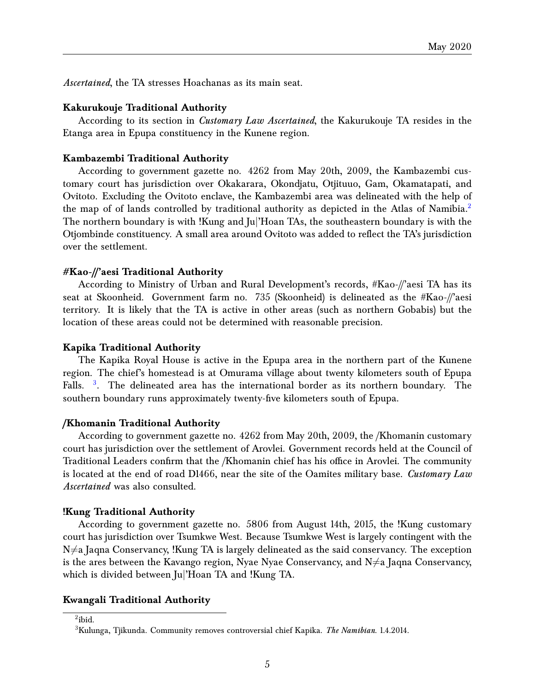*Ascertained*, the TA stresses Hoachanas as its main seat.

#### **Kakurukouje Traditional Authority**

According to its section in *Customary Law Ascertained*, the Kakurukouje TA resides in the Etanga area in Epupa constituency in the Kunene region.

#### **Kambazembi Traditional Authority**

According to government gazette no. 4262 from May 20th, 2009, the Kambazembi customary court has jurisdiction over Okakarara, Okondjatu, Otjituuo, Gam, Okamatapati, and Ovitoto. Excluding the Ovitoto enclave, the Kambazembi area was delineated with the help of the map of of lands controlled by traditional authority as depicted in the Atlas of Namibia.<sup>[2](#page-4-0)</sup> The northern boundary is with !Kung and Ju|'Hoan TAs, the southeastern boundary is with the Otjombinde constituency. A small area around Ovitoto was added to reflect the TA's jurisdiction over the settlement.

#### **#Kao-//'aesi Traditional Authority**

According to Ministry of Urban and Rural Development's records, #Kao-//'aesi TA has its seat at Skoonheid. Government farm no. 735 (Skoonheid) is delineated as the #Kao-//'aesi territory. It is likely that the TA is active in other areas (such as northern Gobabis) but the location of these areas could not be determined with reasonable precision.

#### **Kapika Traditional Authority**

The Kapika Royal House is active in the Epupa area in the northern part of the Kunene region. The chief's homestead is at Omurama village about twenty kilometers south of Epupa Falls. <sup>[3](#page-4-1)</sup>. The delineated area has the international border as its northern boundary. The southern boundary runs approximately twenty-five kilometers south of Epupa.

#### **/Khomanin Traditional Authority**

According to government gazette no. 4262 from May 20th, 2009, the /Khomanin customary court has jurisdiction over the settlement of Arovlei. Government records held at the Council of Traditional Leaders confirm that the /Khomanin chief has his office in Arovlei. The community is located at the end of road D1466, near the site of the Oamites military base. *Customary Law Ascertained* was also consulted.

#### **!Kung Traditional Authority**

According to government gazette no. 5806 from August 14th, 2015, the !Kung customary court has jurisdiction over Tsumkwe West. Because Tsumkwe West is largely contingent with the  $N\neq a$  Jaqna Conservancy, !Kung TA is largely delineated as the said conservancy. The exception is the ares between the Kavango region, Nyae Nyae Conservancy, and  $N \neq a$  Jaqna Conservancy, which is divided between Ju|'Hoan TA and !Kung TA.

#### **Kwangali Traditional Authority**

<span id="page-4-0"></span> $^{2}$ ibid.

<span id="page-4-1"></span><sup>3</sup>Kulunga, Tjikunda. Community removes controversial chief Kapika. *The Namibian*. 1.4.2014.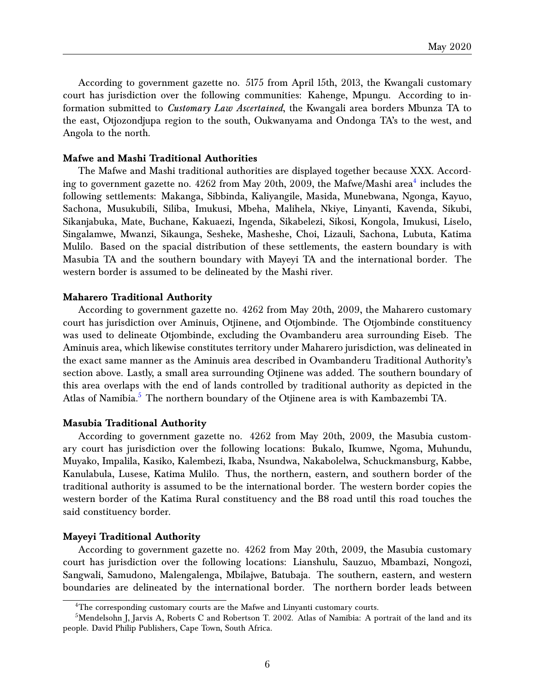According to government gazette no. 5175 from April 15th, 2013, the Kwangali customary court has jurisdiction over the following communities: Kahenge, Mpungu. According to information submitted to *Customary Law Ascertained*, the Kwangali area borders Mbunza TA to the east, Otjozondjupa region to the south, Oukwanyama and Ondonga TA's to the west, and Angola to the north.

### **Mafwe and Mashi Traditional Authorities**

The Mafwe and Mashi traditional authorities are displayed together because XXX. According to government gazette no.  $4262$  $4262$  from May  $20\mathrm{th},\,2009,$  the Mafwe/Mashi area $^4$  includes the following settlements: Makanga, Sibbinda, Kaliyangile, Masida, Munebwana, Ngonga, Kayuo, Sachona, Musukubili, Siliba, Imukusi, Mbeha, Malihela, Nkiye, Linyanti, Kavenda, Sikubi, Sikanjabuka, Mate, Buchane, Kakuaezi, Ingenda, Sikabelezi, Sikosi, Kongola, Imukusi, Liselo, Singalamwe, Mwanzi, Sikaunga, Sesheke, Masheshe, Choi, Lizauli, Sachona, Lubuta, Katima Mulilo. Based on the spacial distribution of these settlements, the eastern boundary is with Masubia TA and the southern boundary with Mayeyi TA and the international border. The western border is assumed to be delineated by the Mashi river.

#### **Maharero Traditional Authority**

According to government gazette no. 4262 from May 20th, 2009, the Maharero customary court has jurisdiction over Aminuis, Otjinene, and Otjombinde. The Otjombinde constituency was used to delineate Otjombinde, excluding the Ovambanderu area surrounding Eiseb. The Aminuis area, which likewise constitutes territory under Maharero jurisdiction, was delineated in the exact same manner as the Aminuis area described in Ovambanderu Traditional Authority's section above. Lastly, a small area surrounding Otjinene was added. The southern boundary of this area overlaps with the end of lands controlled by traditional authority as depicted in the Atlas of Namibia.<sup>[5](#page-5-1)</sup> The northern boundary of the Otjinene area is with Kambazembi TA.

#### **Masubia Traditional Authority**

According to government gazette no. 4262 from May 20th, 2009, the Masubia customary court has jurisdiction over the following locations: Bukalo, Ikumwe, Ngoma, Muhundu, Muyako, Impalila, Kasiko, Kalembezi, Ikaba, Nsundwa, Nakabolelwa, Schuckmansburg, Kabbe, Kanulabula, Lusese, Katima Mulilo. Thus, the northern, eastern, and southern border of the traditional authority is assumed to be the international border. The western border copies the western border of the Katima Rural constituency and the B8 road until this road touches the said constituency border.

#### **Mayeyi Traditional Authority**

According to government gazette no. 4262 from May 20th, 2009, the Masubia customary court has jurisdiction over the following locations: Lianshulu, Sauzuo, Mbambazi, Nongozi, Sangwali, Samudono, Malengalenga, Mbilajwe, Batubaja. The southern, eastern, and western boundaries are delineated by the international border. The northern border leads between

<span id="page-5-1"></span><span id="page-5-0"></span> ${}^{4}$ The corresponding customary courts are the Mafwe and Linyanti customary courts.

<sup>&</sup>lt;sup>5</sup>Mendelsohn J, Jarvis A, Roberts C and Robertson T. 2002. Atlas of Namibia: A portrait of the land and its people. David Philip Publishers, Cape Town, South Africa.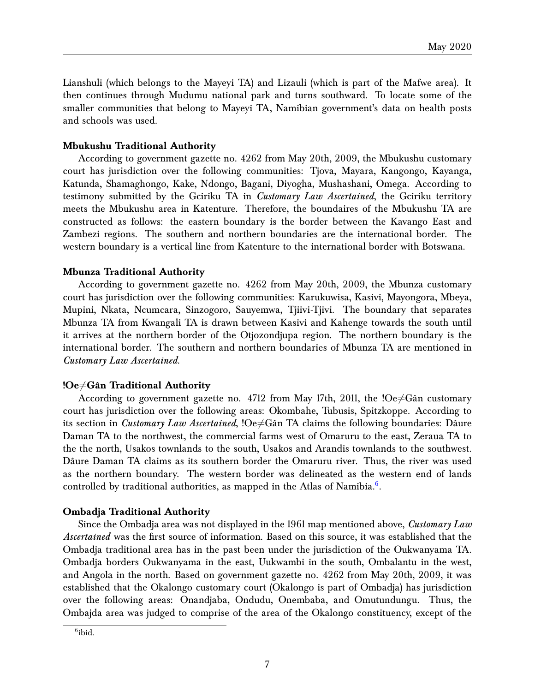Lianshuli (which belongs to the Mayeyi TA) and Lizauli (which is part of the Mafwe area). It then continues through Mudumu national park and turns southward. To locate some of the smaller communities that belong to Mayeyi TA, Namibian government's data on health posts and schools was used.

### **Mbukushu Traditional Authority**

According to government gazette no. 4262 from May 20th, 2009, the Mbukushu customary court has jurisdiction over the following communities: Tjova, Mayara, Kangongo, Kayanga, Katunda, Shamaghongo, Kake, Ndongo, Bagani, Diyogha, Mushashani, Omega. According to testimony submitted by the Gciriku TA in *Customary Law Ascertained*, the Gciriku territory meets the Mbukushu area in Katenture. Therefore, the boundaires of the Mbukushu TA are constructed as follows: the eastern boundary is the border between the Kavango East and Zambezi regions. The southern and northern boundaries are the international border. The western boundary is a vertical line from Katenture to the international border with Botswana.

#### **Mbunza Traditional Authority**

According to government gazette no. 4262 from May 20th, 2009, the Mbunza customary court has jurisdiction over the following communities: Karukuwisa, Kasivi, Mayongora, Mbeya, Mupini, Nkata, Ncumcara, Sinzogoro, Sauyemwa, Tjiivi-Tjivi. The boundary that separates Mbunza TA from Kwangali TA is drawn between Kasivi and Kahenge towards the south until it arrives at the northern border of the Otjozondjupa region. The northern boundary is the international border. The southern and northern boundaries of Mbunza TA are mentioned in *Customary Law Ascertained*.

#### **!Oe**6=**Gân Traditional Authority**

According to government gazette no. 4712 from May 17th, 2011, the ! $Oe\neq G$ ân customary court has jurisdiction over the following areas: Okombahe, Tubusis, Spitzkoppe. According to its section in *Customary Law Ascertained*,  $\Omega e \neq G$ ân TA claims the following boundaries: Dâure Daman TA to the northwest, the commercial farms west of Omaruru to the east, Zeraua TA to the the north, Usakos townlands to the south, Usakos and Arandis townlands to the southwest. Dâure Daman TA claims as its southern border the Omaruru river. Thus, the river was used as the northern boundary. The western border was delineated as the western end of lands controlled by traditional authorities, as mapped in the Atlas of Namibia. $^6$  $^6$ .

#### **Ombadja Traditional Authority**

Since the Ombadja area was not displayed in the 1961 map mentioned above, *Customary Law Ascertained* was the first source of information. Based on this source, it was established that the Ombadja traditional area has in the past been under the jurisdiction of the Oukwanyama TA. Ombadja borders Oukwanyama in the east, Uukwambi in the south, Ombalantu in the west, and Angola in the north. Based on government gazette no. 4262 from May 20th, 2009, it was established that the Okalongo customary court (Okalongo is part of Ombadja) has jurisdiction over the following areas: Onandjaba, Ondudu, Onembaba, and Omutundungu. Thus, the Ombajda area was judged to comprise of the area of the Okalongo constituency, except of the

<span id="page-6-0"></span> $6$ ibid.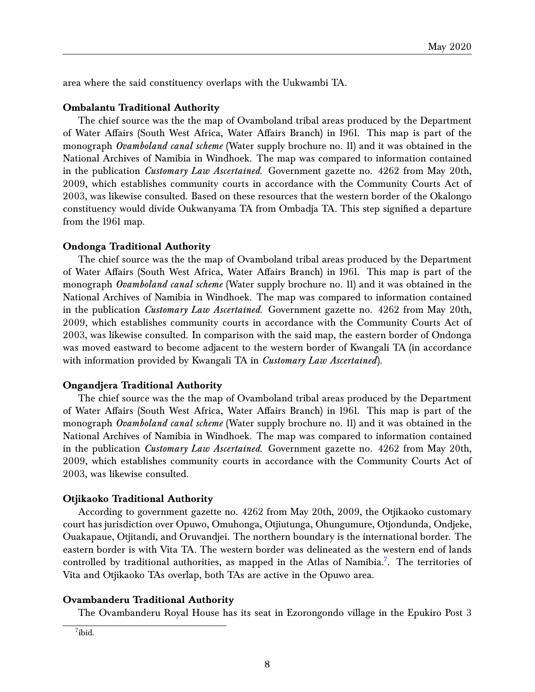area where the said constituency overlaps with the Uukwambi TA.

#### **Ombalantu Traditional Authority**

The chief source was the the map of Ovamboland tribal areas produced by the Department of Water Affairs (South West Africa, Water Affairs Branch) in 1961. This map is part of the monograph *Ovamboland canal scheme* (Water supply brochure no. 11) and it was obtained in the National Archives of Namibia in Windhoek. The map was compared to information contained in the publication *Customary Law Ascertained*. Government gazette no. 4262 from May 20th, 2009, which establishes community courts in accordance with the Community Courts Act of 2003, was likewise consulted. Based on these resources that the western border of the Okalongo constituency would divide Oukwanyama TA from Ombadja TA. This step signified a departure from the 1961 map.

#### **Ondonga Traditional Authority**

The chief source was the the map of Ovamboland tribal areas produced by the Department of Water Affairs (South West Africa, Water Affairs Branch) in 1961. This map is part of the monograph *Ovamboland canal scheme* (Water supply brochure no. 11) and it was obtained in the National Archives of Namibia in Windhoek. The map was compared to information contained in the publication *Customary Law Ascertained*. Government gazette no. 4262 from May 20th, 2009, which establishes community courts in accordance with the Community Courts Act of 2003, was likewise consulted. In comparison with the said map, the eastern border of Ondonga was moved eastward to become adjacent to the western border of Kwangali TA (in accordance with information provided by Kwangali TA in *Customary Law Ascertained*).

#### **Ongandjera Traditional Authority**

The chief source was the the map of Ovamboland tribal areas produced by the Department of Water Affairs (South West Africa, Water Affairs Branch) in 1961. This map is part of the monograph *Ovamboland canal scheme* (Water supply brochure no. 11) and it was obtained in the National Archives of Namibia in Windhoek. The map was compared to information contained in the publication *Customary Law Ascertained*. Government gazette no. 4262 from May 20th, 2009, which establishes community courts in accordance with the Community Courts Act of 2003, was likewise consulted.

#### **Otjikaoko Traditional Authority**

According to government gazette no. 4262 from May 20th, 2009, the Otjikaoko customary court has jurisdiction over Opuwo, Omuhonga, Otjiutunga, Ohungumure, Otjondunda, Ondjeke, Ouakapaue, Otjitandi, and Oruvandjei. The northern boundary is the international border. The eastern border is with Vita TA. The western border was delineated as the western end of lands controlled by traditional authorities, as mapped in the Atlas of Namibia.<sup>[7](#page-7-0)</sup>. The territories of Vita and Otjikaoko TAs overlap, both TAs are active in the Opuwo area.

#### **Ovambanderu Traditional Authority**

The Ovambanderu Royal House has its seat in Ezorongondo village in the Epukiro Post 3

<span id="page-7-0"></span> $7$ ibid.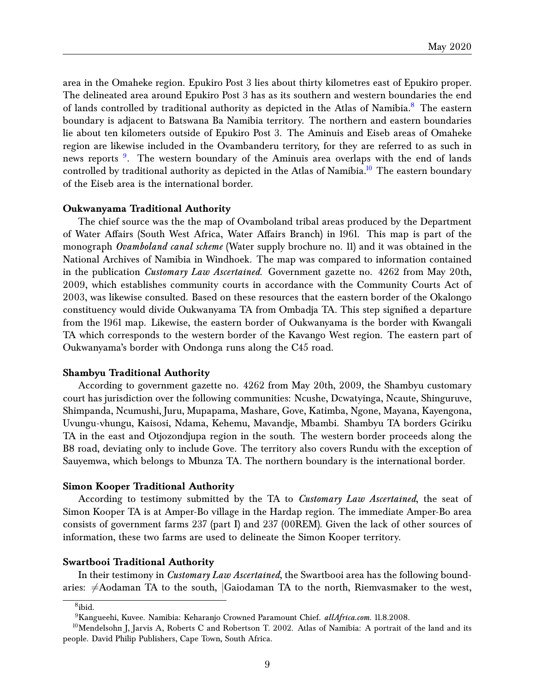area in the Omaheke region. Epukiro Post 3 lies about thirty kilometres east of Epukiro proper. The delineated area around Epukiro Post 3 has as its southern and western boundaries the end of lands controlled by traditional authority as depicted in the Atlas of Namibia.<sup>[8](#page-8-0)</sup> The eastern boundary is adjacent to Batswana Ba Namibia territory. The northern and eastern boundaries lie about ten kilometers outside of Epukiro Post 3. The Aminuis and Eiseb areas of Omaheke region are likewise included in the Ovambanderu territory, for they are referred to as such in news reports <sup>[9](#page-8-1)</sup>. The western boundary of the Aminuis area overlaps with the end of lands controlled by traditional authority as depicted in the Atlas of Namibia.<sup>[10](#page-8-2)</sup> The eastern boundary of the Eiseb area is the international border.

#### **Oukwanyama Traditional Authority**

The chief source was the the map of Ovamboland tribal areas produced by the Department of Water Affairs (South West Africa, Water Affairs Branch) in 1961. This map is part of the monograph *Ovamboland canal scheme* (Water supply brochure no. 11) and it was obtained in the National Archives of Namibia in Windhoek. The map was compared to information contained in the publication *Customary Law Ascertained*. Government gazette no. 4262 from May 20th, 2009, which establishes community courts in accordance with the Community Courts Act of 2003, was likewise consulted. Based on these resources that the eastern border of the Okalongo constituency would divide Oukwanyama TA from Ombadja TA. This step signified a departure from the 1961 map. Likewise, the eastern border of Oukwanyama is the border with Kwangali TA which corresponds to the western border of the Kavango West region. The eastern part of Oukwanyama's border with Ondonga runs along the C45 road.

#### **Shambyu Traditional Authority**

According to government gazette no. 4262 from May 20th, 2009, the Shambyu customary court has jurisdiction over the following communities: Ncushe, Dcwatyinga, Ncaute, Shinguruve, Shimpanda, Ncumushi, Juru, Mupapama, Mashare, Gove, Katimba, Ngone, Mayana, Kayengona, Uvungu-vhungu, Kaisosi, Ndama, Kehemu, Mavandje, Mbambi. Shambyu TA borders Gciriku TA in the east and Otjozondjupa region in the south. The western border proceeds along the B8 road, deviating only to include Gove. The territory also covers Rundu with the exception of Sauyemwa, which belongs to Mbunza TA. The northern boundary is the international border.

#### **Simon Kooper Traditional Authority**

According to testimony submitted by the TA to *Customary Law Ascertained*, the seat of Simon Kooper TA is at Amper-Bo village in the Hardap region. The immediate Amper-Bo area consists of government farms 237 (part I) and 237 (00REM). Given the lack of other sources of information, these two farms are used to delineate the Simon Kooper territory.

#### **Swartbooi Traditional Authority**

In their testimony in *Customary Law Ascertained*, the Swartbooi area has the following boundaries:  $\neq$ Aodaman TA to the south,  $|Gaiodaman$  TA to the north, Riemvasmaker to the west,

<span id="page-8-0"></span><sup>8</sup> ibid.

<span id="page-8-2"></span><span id="page-8-1"></span><sup>9</sup>Kangueehi, Kuvee. Namibia: Keharanjo Crowned Paramount Chief. *allAfrica.com*. 11.8.2008.

<sup>&</sup>lt;sup>10</sup>Mendelsohn J, Jarvis A, Roberts C and Robertson T. 2002. Atlas of Namibia: A portrait of the land and its people. David Philip Publishers, Cape Town, South Africa.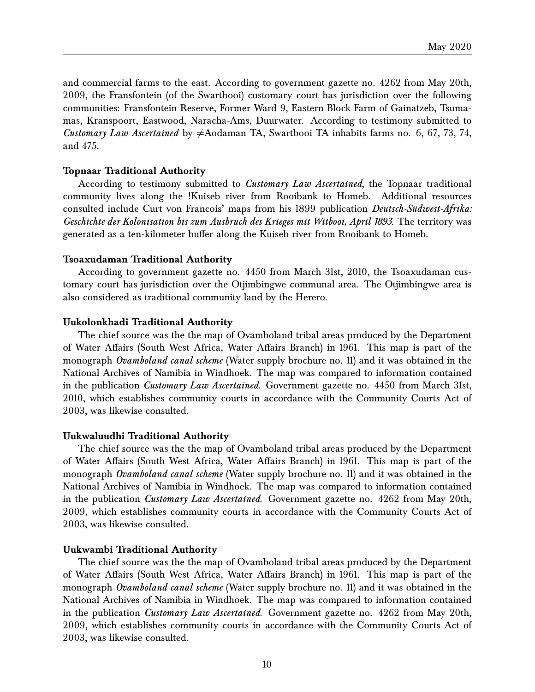and commercial farms to the east. According to government gazette no. 4262 from May 20th, 2009, the Fransfontein (of the Swartbooi) customary court has jurisdiction over the following communities: Fransfontein Reserve, Former Ward 9, Eastern Block Farm of Gainatzeb, Tsumamas, Kranspoort, Eastwood, Naracha-Ams, Duurwater. According to testimony submitted to *Customary Law Ascertained* by  $\neq$ Aodaman TA, Swartbooi TA inhabits farms no. 6, 67, 73, 74, and 475.

#### **Topnaar Traditional Authority**

According to testimony submitted to *Customary Law Ascertained*, the Topnaar traditional community lives along the !Kuiseb river from Rooibank to Homeb. Additional resources consulted include Curt von Francois' maps from his 1899 publication *Deutsch-Südwest-Afrika: Geschichte der Kolonisation bis zum Ausbruch des Krieges mit Witbooi, April 1893*. The territory was generated as a ten-kilometer buffer along the Kuiseb river from Rooibank to Homeb.

#### **Tsoaxudaman Traditional Authority**

According to government gazette no. 4450 from March 31st, 2010, the Tsoaxudaman customary court has jurisdiction over the Otjimbingwe communal area. The Otjimbingwe area is also considered as traditional community land by the Herero.

#### **Uukolonkhadi Traditional Authority**

The chief source was the the map of Ovamboland tribal areas produced by the Department of Water Affairs (South West Africa, Water Affairs Branch) in 1961. This map is part of the monograph *Ovamboland canal scheme* (Water supply brochure no. 11) and it was obtained in the National Archives of Namibia in Windhoek. The map was compared to information contained in the publication *Customary Law Ascertained*. Government gazette no. 4450 from March 31st, 2010, which establishes community courts in accordance with the Community Courts Act of 2003, was likewise consulted.

#### **Uukwaluudhi Traditional Authority**

The chief source was the the map of Ovamboland tribal areas produced by the Department of Water Affairs (South West Africa, Water Affairs Branch) in 1961. This map is part of the monograph *Ovamboland canal scheme* (Water supply brochure no. 11) and it was obtained in the National Archives of Namibia in Windhoek. The map was compared to information contained in the publication *Customary Law Ascertained*. Government gazette no. 4262 from May 20th, 2009, which establishes community courts in accordance with the Community Courts Act of 2003, was likewise consulted.

#### **Uukwambi Traditional Authority**

The chief source was the the map of Ovamboland tribal areas produced by the Department of Water Affairs (South West Africa, Water Affairs Branch) in 1961. This map is part of the monograph *Ovamboland canal scheme* (Water supply brochure no. 11) and it was obtained in the National Archives of Namibia in Windhoek. The map was compared to information contained in the publication *Customary Law Ascertained*. Government gazette no. 4262 from May 20th, 2009, which establishes community courts in accordance with the Community Courts Act of 2003, was likewise consulted.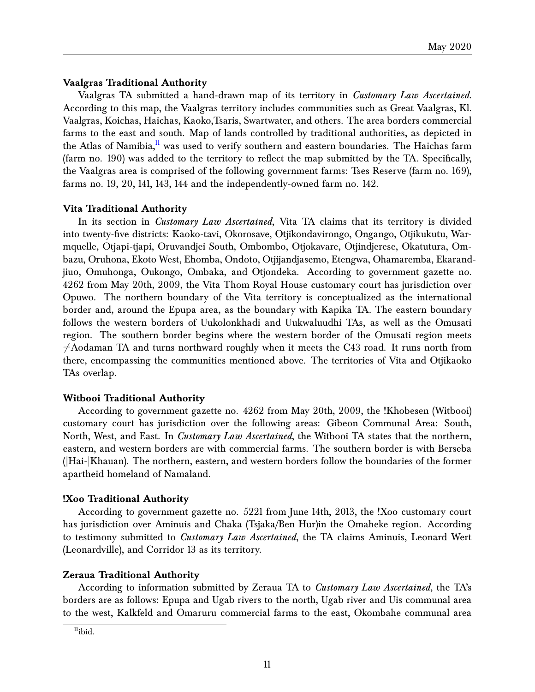### **Vaalgras Traditional Authority**

Vaalgras TA submitted a hand-drawn map of its territory in *Customary Law Ascertained*. According to this map, the Vaalgras territory includes communities such as Great Vaalgras, Kl. Vaalgras, Koichas, Haichas, Kaoko,Tsaris, Swartwater, and others. The area borders commercial farms to the east and south. Map of lands controlled by traditional authorities, as depicted in the Atlas of Namibia,<sup>[11](#page-10-0)</sup> was used to verify southern and eastern boundaries. The Haichas farm (farm no. 190) was added to the territory to reflect the map submitted by the TA. Specifically, the Vaalgras area is comprised of the following government farms: Tses Reserve (farm no. 169), farms no. 19, 20, 141, 143, 144 and the independently-owned farm no. 142.

### **Vita Traditional Authority**

In its section in *Customary Law Ascertained*, Vita TA claims that its territory is divided into twenty-five districts: Kaoko-tavi, Okorosave, Otjikondavirongo, Ongango, Otjikukutu, Warmquelle, Otjapi-tjapi, Oruvandjei South, Ombombo, Otjokavare, Otjindjerese, Okatutura, Ombazu, Oruhona, Ekoto West, Ehomba, Ondoto, Otjijandjasemo, Etengwa, Ohamaremba, Ekarandjiuo, Omuhonga, Oukongo, Ombaka, and Otjondeka. According to government gazette no. 4262 from May 20th, 2009, the Vita Thom Royal House customary court has jurisdiction over Opuwo. The northern boundary of the Vita territory is conceptualized as the international border and, around the Epupa area, as the boundary with Kapika TA. The eastern boundary follows the western borders of Uukolonkhadi and Uukwaluudhi TAs, as well as the Omusati region. The southern border begins where the western border of the Omusati region meets  $\neq$ Aodaman TA and turns northward roughly when it meets the C43 road. It runs north from there, encompassing the communities mentioned above. The territories of Vita and Otjikaoko TAs overlap.

### **Witbooi Traditional Authority**

According to government gazette no. 4262 from May 20th, 2009, the !Khobesen (Witbooi) customary court has jurisdiction over the following areas: Gibeon Communal Area: South, North, West, and East. In *Customary Law Ascertained*, the Witbooi TA states that the northern, eastern, and western borders are with commercial farms. The southern border is with Berseba (|Hai-|Khauan). The northern, eastern, and western borders follow the boundaries of the former apartheid homeland of Namaland.

### **!Xoo Traditional Authority**

According to government gazette no. 5221 from June 14th, 2013, the !Xoo customary court has jurisdiction over Aminuis and Chaka (Tsjaka/Ben Hur)in the Omaheke region. According to testimony submitted to *Customary Law Ascertained*, the TA claims Aminuis, Leonard Wert (Leonardville), and Corridor 13 as its territory.

### **Zeraua Traditional Authority**

According to information submitted by Zeraua TA to *Customary Law Ascertained*, the TA's borders are as follows: Epupa and Ugab rivers to the north, Ugab river and Uis communal area to the west, Kalkfeld and Omaruru commercial farms to the east, Okombahe communal area

<span id="page-10-0"></span> $<sup>11</sup>$ ibid.</sup>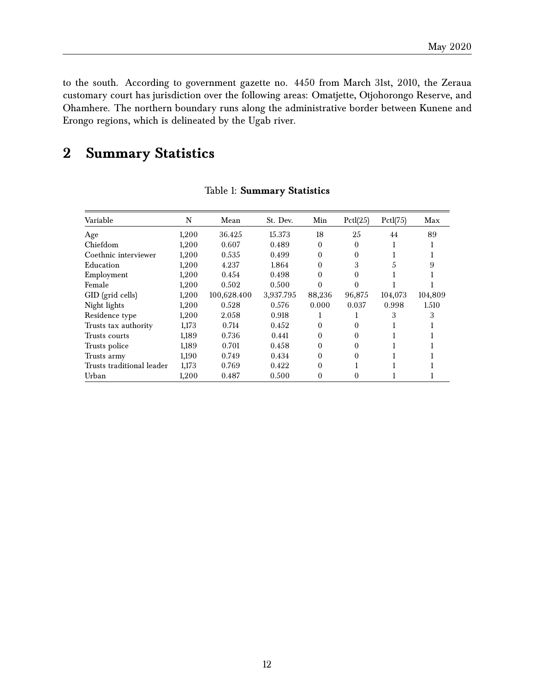to the south. According to government gazette no. 4450 from March 31st, 2010, the Zeraua customary court has jurisdiction over the following areas: Omatjette, Otjohorongo Reserve, and Ohamhere. The northern boundary runs along the administrative border between Kunene and Erongo regions, which is delineated by the Ugab river.

## <span id="page-11-0"></span>**2 Summary Statistics**

| Variable                  | N     | Mean        | St. Dev.  | Min      | PctI(25) | Pctl(75) | Max     |
|---------------------------|-------|-------------|-----------|----------|----------|----------|---------|
| Age                       | 1,200 | 36.425      | 15.373    | 18       | 25       | 44       | 89      |
| Chiefdom                  | 1,200 | 0.607       | 0.489     | $\theta$ | $\Omega$ |          |         |
| Coethnic interviewer      | 1,200 | 0.535       | 0.499     | $\theta$ | 0        |          |         |
| Education                 | 1,200 | 4.237       | 1.864     | $\theta$ | 3        | 5        | 9       |
| Employment                | 1,200 | 0.454       | 0.498     | 0        | 0        |          |         |
| Female                    | 1,200 | 0.502       | 0.500     | 0        | 0        |          |         |
| GID (grid cells)          | 1,200 | 100,628.400 | 3,937.795 | 88,236   | 96,875   | 104,073  | 104,809 |
| Night lights              | 1,200 | 0.528       | 0.576     | 0.000    | 0.037    | 0.998    | 1.510   |
| Residence type            | 1,200 | 2.058       | 0.918     |          |          | 3        |         |
| Trusts tax authority      | 1,173 | 0.714       | 0.452     | $\theta$ | $\theta$ |          |         |
| Trusts courts             | 1,189 | 0.736       | 0.441     | $\theta$ | 0        |          |         |
| Trusts police             | 1,189 | 0.701       | 0.458     | $\theta$ | 0        |          |         |
| Trusts army               | 1,190 | 0.749       | 0.434     | $\theta$ | $\Omega$ |          |         |
| Trusts traditional leader | 1,173 | 0.769       | 0.422     | $\Omega$ |          |          |         |
| Urban                     | 1,200 | 0.487       | 0.500     | $\theta$ |          |          |         |

### Table 1: **Summary Statistics**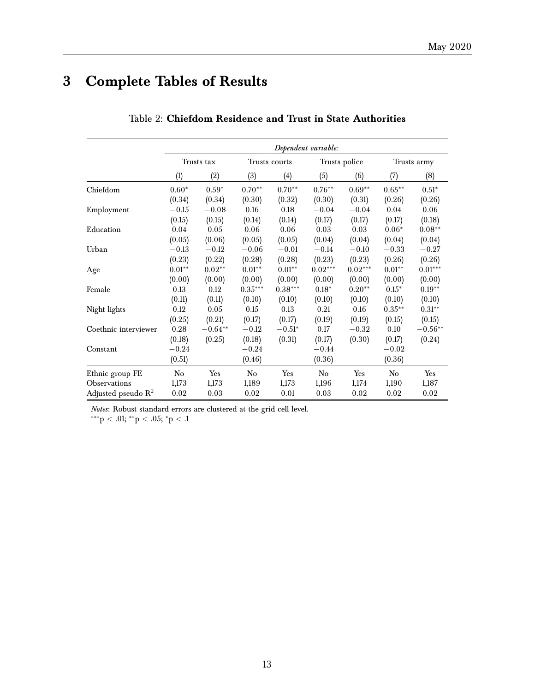## <span id="page-12-0"></span>**3 Complete Tables of Results**

|                                |          | Dependent variable: |           |               |                   |               |             |           |  |  |
|--------------------------------|----------|---------------------|-----------|---------------|-------------------|---------------|-------------|-----------|--|--|
|                                |          | Trusts tax          |           | Trusts courts |                   | Trusts police | Trusts army |           |  |  |
|                                | (1)      | (2)                 | (3)       | (4)           | (5)               | (6)           | (7)         | (8)       |  |  |
| Chiefdom                       | $0.60*$  | $0.59*$             | $0.70**$  | $0.70**$      | $0.76^{\ast\ast}$ | $0.69**$      | $0.65**$    | $0.51*$   |  |  |
|                                | (0.34)   | (0.34)              | (0.30)    | (0.32)        | (0.30)            | (0.31)        | (0.26)      | (0.26)    |  |  |
| Employment                     | $-0.15$  | $-0.08$             | 0.16      | 0.18          | $-0.04$           | $-0.04$       | 0.04        | 0.06      |  |  |
|                                | (0.15)   | (0.15)              | (0.14)    | (0.14)        | (0.17)            | (0.17)        | (0.17)      | (0.18)    |  |  |
| Education                      | 0.04     | 0.05                | 0.06      | 0.06          | 0.03              | 0.03          | $0.06*$     | $0.08**$  |  |  |
|                                | (0.05)   | (0.06)              | (0.05)    | (0.05)        | (0.04)            | (0.04)        | (0.04)      | (0.04)    |  |  |
| Urban                          | $-0.13$  | $-0.12$             | $-0.06$   | $-0.01$       | $-0.14$           | $-0.10$       | $-0.33$     | $-0.27$   |  |  |
|                                | (0.23)   | (0.22)              | (0.28)    | (0.28)        | (0.23)            | (0.23)        | (0.26)      | (0.26)    |  |  |
| Age                            | $0.01**$ | $0.02**$            | $0.01**$  | $0.01**$      | $0.02***$         | $0.02***$     | $0.01**$    | $0.01***$ |  |  |
|                                | (0.00)   | (0.00)              | (0.00)    | (0.00)        | (0.00)            | (0.00)        | (0.00)      | (0.00)    |  |  |
| Female                         | 0.13     | 0.12                | $0.35***$ | $0.38***$     | $0.18*$           | $0.20**$      | $0.15*$     | $0.19**$  |  |  |
|                                | (0.11)   | (0.11)              | (0.10)    | (0.10)        | (0.10)            | (0.10)        | (0.10)      | (0.10)    |  |  |
| Night lights                   | 0.12     | 0.05                | 0.15      | 0.13          | 0.21              | 0.16          | $0.35***$   | $0.31**$  |  |  |
|                                | (0.25)   | (0.21)              | (0.17)    | (0.17)        | (0.19)            | (0.19)        | (0.15)      | (0.15)    |  |  |
| Coethnic interviewer           | 0.28     | $-0.64**$           | $-0.12$   | $-0.51*$      | 0.17              | $-0.32$       | 0.10        | $-0.56**$ |  |  |
|                                | (0.18)   | (0.25)              | (0.18)    | (0.31)        | (0.17)            | (0.30)        | (0.17)      | (0.24)    |  |  |
| Constant                       | $-0.24$  |                     | $-0.24$   |               | $-0.44$           |               | $-0.02$     |           |  |  |
|                                | (0.51)   |                     | (0.46)    |               | (0.36)            |               | (0.36)      |           |  |  |
| Ethnic group FE                | No       | Yes                 | No        | Yes           | No                | Yes           | No          | Yes       |  |  |
| <b>Observations</b>            | 1,173    | 1,173               | 1,189     | 1,173         | 1,196             | 1,174         | 1,190       | 1,187     |  |  |
| Adjusted pseudo $\mathbb{R}^2$ | 0.02     | 0.03                | 0.02      | 0.01          | 0.03              | 0.02          | 0.02        | 0.02      |  |  |

### Table 2: **Chiefdom Residence and Trust in State Authorities**

*Notes*: Robust standard errors are clustered at the grid cell level.

∗∗∗p < .01; ∗∗p < .05; <sup>∗</sup>p < .1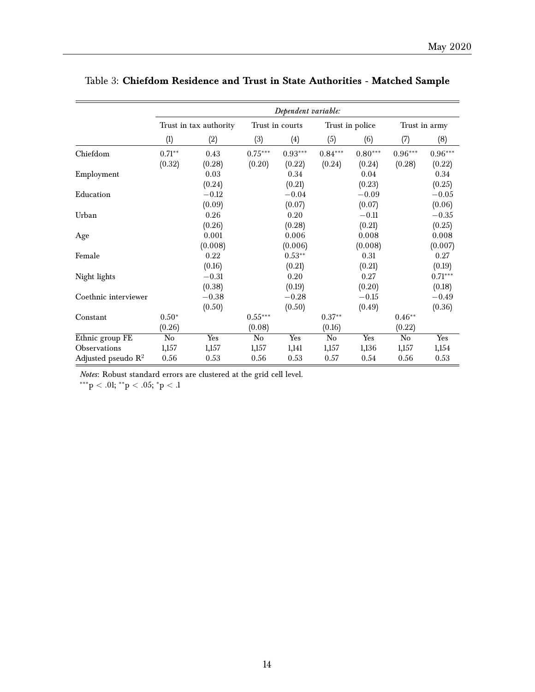|                                |          | Dependent variable:    |                        |                 |           |                 |           |               |  |
|--------------------------------|----------|------------------------|------------------------|-----------------|-----------|-----------------|-----------|---------------|--|
|                                |          | Trust in tax authority |                        | Trust in courts |           | Trust in police |           | Trust in army |  |
|                                | (1)      | (2)                    | (3)                    | (4)             | (5)       | (6)             | (7)       | (8)           |  |
| Chiefdom                       | $0.71**$ | 0.43                   | $0.75***$              | $0.93***$       | $0.84***$ | $0.80***$       | $0.96***$ | $0.96***$     |  |
|                                | (0.32)   | (0.28)                 | (0.20)                 | (0.22)          | (0.24)    | (0.24)          | (0.28)    | (0.22)        |  |
| Employment                     |          | 0.03                   |                        | 0.34            |           | 0.04            |           | 0.34          |  |
|                                |          | (0.24)                 |                        | (0.21)          |           | (0.23)          |           | (0.25)        |  |
| Education                      |          | $-0.12$                |                        | $-0.04$         |           | $-0.09$         |           | $-0.05$       |  |
|                                |          | (0.09)                 |                        | (0.07)          |           | (0.07)          |           | (0.06)        |  |
| Urban                          |          | 0.26                   |                        | 0.20            |           | $-0.11$         |           | $-0.35$       |  |
|                                |          | (0.26)                 |                        | (0.28)          |           | (0.21)          |           | (0.25)        |  |
| Age                            |          | 0.001                  |                        | 0.006           |           | 0.008           |           | 0.008         |  |
|                                |          | (0.008)                |                        | (0.006)         |           | (0.008)         |           | (0.007)       |  |
| Female                         |          | 0.22                   |                        | $0.53***$       |           | 0.31            |           | 0.27          |  |
|                                |          | (0.16)                 |                        | (0.21)          |           | (0.21)          |           | (0.19)        |  |
| Night lights                   |          | $-0.31$                |                        | 0.20            |           | 0.27            |           | $0.71***$     |  |
|                                |          | (0.38)                 |                        | (0.19)          |           | (0.20)          |           | (0.18)        |  |
| Coethnic interviewer           |          | $-0.38$                |                        | $-0.28$         |           | $-0.15$         |           | $-0.49$       |  |
|                                |          | (0.50)                 |                        | (0.50)          |           | (0.49)          |           | (0.36)        |  |
| Constant                       | $0.50*$  |                        | $0.55***$              |                 | $0.37**$  |                 | $0.46**$  |               |  |
|                                | (0.26)   |                        | (0.08)                 |                 | (0.16)    |                 | (0.22)    |               |  |
| Ethnic group FE                | No       | Yes                    | $\overline{\text{No}}$ | Yes             | No        | Yes             | No        | Yes           |  |
| Observations                   | 1,157    | 1,157                  | 1,157                  | 1,141           | 1,157     | 1,136           | 1,157     | 1,154         |  |
| Adjusted pseudo $\mathbb{R}^2$ | 0.56     | 0.53                   | 0.56                   | 0.53            | 0.57      | 0.54            | 0.56      | 0.53          |  |

## Table 3: **Chiefdom Residence and Trust in State Authorities - Matched Sample**

*Notes*: Robust standard errors are clustered at the grid cell level.

 $***p < .01; **p < .05; *p < .1$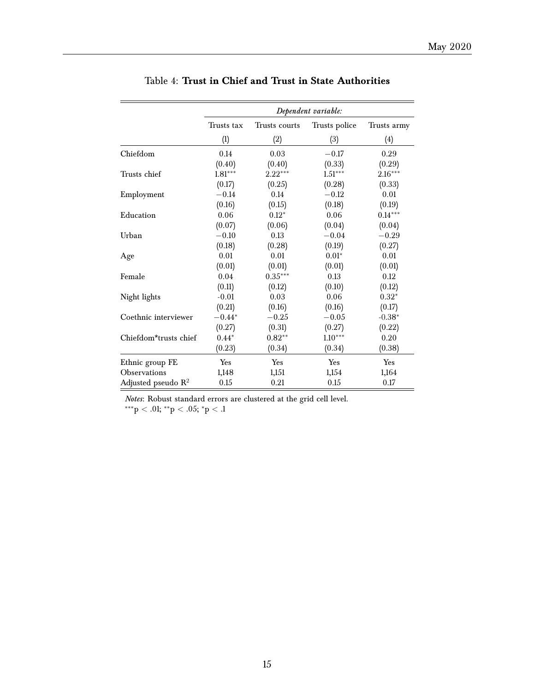|                       |            |               | Dependent variable: |             |
|-----------------------|------------|---------------|---------------------|-------------|
|                       | Trusts tax | Trusts courts | Trusts police       | Trusts army |
|                       | (1)        | (2)           | (3)                 | (4)         |
| Chiefdom              | 0.14       | 0.03          | $-0.17$             | 0.29        |
|                       | (0.40)     | (0.40)        | (0.33)              | (0.29)      |
| Trusts chief          | $1.81***$  | $2.22***$     | $1.51***$           | $2.16***$   |
|                       | (0.17)     | (0.25)        | (0.28)              | (0.33)      |
| Employment            | $-0.14$    | 0.14          | $-0.12$             | 0.01        |
|                       | (0.16)     | (0.15)        | (0.18)              | (0.19)      |
| Education             | 0.06       | $0.12*$       | 0.06                | $0.14***$   |
|                       | (0.07)     | (0.06)        | (0.04)              | (0.04)      |
| Urban                 | $-0.10$    | 0.13          | $-0.04$             | $-0.29$     |
|                       | (0.18)     | (0.28)        | (0.19)              | (0.27)      |
| Age                   | 0.01       | 0.01          | $0.01*$             | 0.01        |
|                       | (0.01)     | (0.01)        | (0.01)              | (0.01)      |
| Female                | 0.04       | $0.35***$     | 0.13                | 0.12        |
|                       | (0.11)     | (0.12)        | (0.10)              | (0.12)      |
| Night lights          | $-0.01$    | 0.03          | 0.06                | $0.32*$     |
|                       | (0.21)     | (0.16)        | (0.16)              | (0.17)      |
| Coethnic interviewer  | $-0.44*$   | $-0.25$       | $-0.05$             | $-0.38*$    |
|                       | (0.27)     | (0.31)        | (0.27)              | (0.22)      |
| Chiefdom*trusts chief | $0.44*$    | $0.82**$      | $1.10***$           | 0.20        |
|                       | (0.23)     | (0.34)        | (0.34)              | (0.38)      |
| Ethnic group FE       | Yes        | Yes           | Yes                 | Yes         |
| Observations          | 1,148      | 1,151         | 1,154               | 1,164       |
| Adjusted pseudo $R^2$ | 0.15       | 0.21          | $0.15\,$            | 0.17        |

## Table 4: **Trust in Chief and Trust in State Authorities**

*Notes*: Robust standard errors are clustered at the grid cell level.

 $^{***}p < .01; ^{**}p < .05; ^{*}p < .1$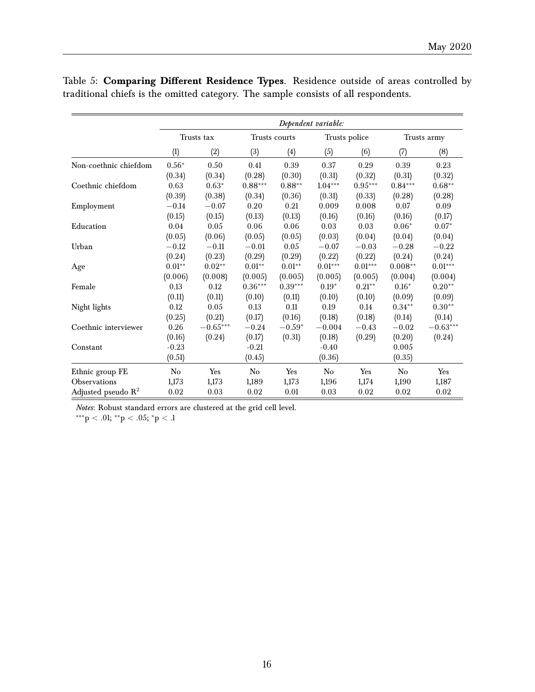|                                |          |            |           |               | Dependent variable: |            |           |             |
|--------------------------------|----------|------------|-----------|---------------|---------------------|------------|-----------|-------------|
|                                |          | Trusts tax |           | Trusts courts | Trusts police       |            |           | Trusts army |
|                                | (1)      | (2)        | (3)       | (4)           | (5)                 | (6)        | (7)       | (8)         |
| Non-coethnic chiefdom          | $0.56*$  | 0.50       | 0.41      | 0.39          | 0.37                | 0.29       | 0.39      | 0.23        |
|                                | (0.34)   | (0.34)     | (0.28)    | (0.30)        | (0.31)              | (0.32)     | (0.31)    | (0.32)      |
| Coethnic chiefdom              | 0.63     | $0.63*$    | $0.88***$ | $0.88**$      | $1.04***$           | $0.95***$  | $0.84***$ | $0.68**$    |
|                                | (0.39)   | (0.38)     | (0.34)    | (0.36)        | (0.31)              | (0.33)     | (0.28)    | (0.28)      |
| Employment                     | $-0.14$  | $-0.07$    | 0.20      | 0.21          | 0.009               | 0.008      | 0.07      | 0.09        |
|                                | (0.15)   | (0.15)     | (0.13)    | (0.13)        | (0.16)              | (0.16)     | (0.16)    | (0.17)      |
| Education                      | 0.04     | 0.05       | 0.06      | 0.06          | 0.03                | 0.03       | $0.06*$   | $0.07*$     |
|                                | (0.05)   | (0.06)     | (0.05)    | (0.05)        | (0.03)              | (0.04)     | (0.04)    | (0.04)      |
| Urban                          | $-0.12$  | $-0.11$    | $-0.01$   | 0.05          | $-0.07$             | $-0.03$    | $-0.28$   | $-0.22$     |
|                                | (0.24)   | (0.23)     | (0.29)    | (0.29)        | (0.22)              | (0.22)     | (0.24)    | (0.24)      |
| Age                            | $0.01**$ | $0.02**$   | $0.01**$  | $0.01**$      | $0.01***$           | $0.01***$  | $0.008**$ | $0.01***$   |
|                                | (0.006)  | (0.008)    | (0.005)   | (0.005)       | (0.005)             | (0.005)    | (0.004)   | (0.004)     |
| Female                         | 0.13     | 0.12       | $0.36***$ | $0.39***$     | $0.19*$             | $0.21**$   | $0.16*$   | $0.20**$    |
|                                | (0.11)   | (0.11)     | (0.10)    | (0.11)        | (0.10)              | (0.10)     | (0.09)    | (0.09)      |
| Night lights                   | 0.12     | 0.05       | 0.13      | 0.11          | 0.19                | 0.14       | $0.34**$  | $0.30**$    |
|                                | (0.25)   | (0.21)     | (0.17)    | (0.16)        | (0.18)              | (0.18)     | (0.14)    | (0.14)      |
| Coethnic interviewer           | 0.26     | $-0.65***$ | $-0.24$   | $-0.59*$      | $-0.004$            | $-0.43$    | $-0.02$   | $-0.63***$  |
|                                | (0.16)   | (0.24)     | (0.17)    | (0.31)        | (0.18)              | (0.29)     | (0.20)    | (0.24)      |
| Constant                       | $-0.23$  |            | $-0.21$   |               | $-0.40$             |            | 0.005     |             |
|                                | (0.51)   |            | (0.45)    |               | (0.36)              |            | (0.35)    |             |
| Ethnic group FE                | No       | Yes        | No        | Yes           | No                  | Yes        | No        | Yes         |
| Observations                   | 1,173    | 1,173      | 1,189     | 1,173         | 1,196               | 1,174      | 1,190     | 1,187       |
| Adjusted pseudo $\mathbb{R}^2$ | 0.02     | 0.03       | 0.02      | 0.01          | 0.03                | $\rm 0.02$ | 0.02      | 0.02        |

Table 5: **Comparing Different Residence Types**. Residence outside of areas controlled by traditional chiefs is the omitted category. The sample consists of all respondents.

*Notes*: Robust standard errors are clustered at the grid cell level.

 $***p<.01; **p<.05; *p<.1$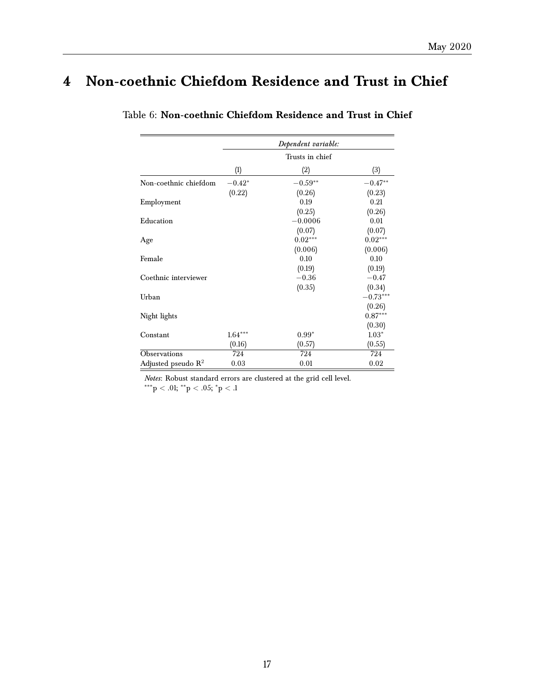## <span id="page-16-0"></span>**4 Non-coethnic Chiefdom Residence and Trust in Chief**

|                                |           | Dependent variable: |            |
|--------------------------------|-----------|---------------------|------------|
|                                |           | Trusts in chief     |            |
|                                | (1)       | (2)                 | (3)        |
| Non-coethnic chiefdom          | $-0.42*$  | $-0.59**$           | $-0.47**$  |
|                                | (0.22)    | (0.26)              | (0.23)     |
| Employment                     |           | 0.19                | 0.21       |
|                                |           | (0.25)              | (0.26)     |
| Education                      |           | $-0.0006$           | 0.01       |
|                                |           | (0.07)              | (0.07)     |
| Age                            |           | $0.02***$           | $0.02***$  |
|                                |           | (0.006)             | (0.006)    |
| Female                         |           | 0.10                | 0.10       |
|                                |           | (0.19)              | (0.19)     |
| Coethnic interviewer           |           | $-0.36$             | $-0.47$    |
|                                |           | (0.35)              | (0.34)     |
| Urban                          |           |                     | $-0.73***$ |
|                                |           |                     | (0.26)     |
| Night lights                   |           |                     | $0.87***$  |
|                                |           |                     | (0.30)     |
| Constant                       | $1.64***$ | $0.99*$             | $1.03*$    |
|                                | (0.16)    | (0.57)              | (0.55)     |
| Observations                   | 724       | 724                 | 724        |
| Adjusted pseudo $\mathbb{R}^2$ | 0.03      | 0.01                | 0.02       |

Table 6: **Non-coethnic Chiefdom Residence and Trust in Chief**

*Notes*: Robust standard errors are clustered at the grid cell level.  $\rm ^{***}p<.01;$   $\rm ^*p<.05;$   $\rm ^*p<.1$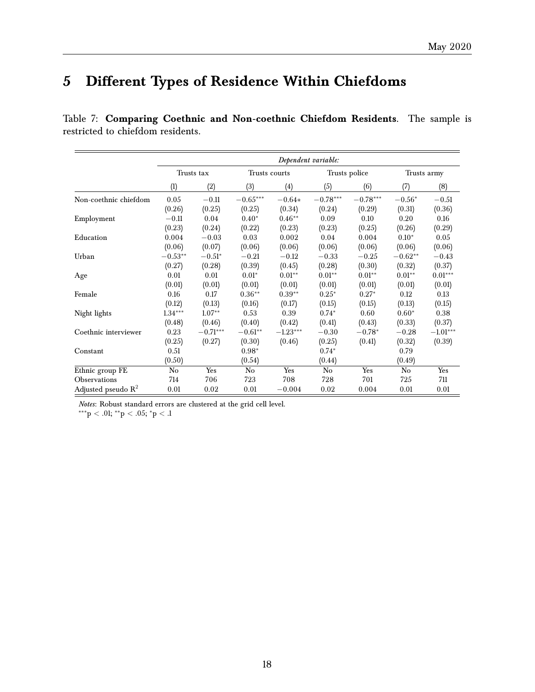## <span id="page-17-0"></span>**5 Different Types of Residence Within Chiefdoms**

|                       |           | Dependent variable: |            |               |            |               |             |            |  |  |
|-----------------------|-----------|---------------------|------------|---------------|------------|---------------|-------------|------------|--|--|
|                       |           | Trusts tax          |            | Trusts courts |            | Trusts police | Trusts army |            |  |  |
|                       | (1)       | (2)                 | (3)        | (4)           | (5)        | (6)           | (7)         | (8)        |  |  |
| Non-coethnic chiefdom | 0.05      | $-0.11$             | $-0.65***$ | $-0.64*$      | $-0.78***$ | $-0.78***$    | $-0.56^*$   | $-0.51$    |  |  |
|                       | (0.26)    | (0.25)              | (0.25)     | (0.34)        | (0.24)     | (0.29)        | (0.31)      | (0.36)     |  |  |
| Employment            | $-0.11$   | 0.04                | $0.40*$    | $0.46**$      | 0.09       | 0.10          | 0.20        | 0.16       |  |  |
|                       | (0.23)    | (0.24)              | (0.22)     | (0.23)        | (0.23)     | (0.25)        | (0.26)      | (0.29)     |  |  |
| Education             | 0.004     | $-0.03$             | 0.03       | 0.002         | 0.04       | 0.004         | $0.10*$     | 0.05       |  |  |
|                       | (0.06)    | (0.07)              | (0.06)     | (0.06)        | (0.06)     | (0.06)        | (0.06)      | (0.06)     |  |  |
| Urban                 | $-0.53**$ | $-0.51*$            | $-0.21$    | $-0.12$       | $-0.33$    | $-0.25$       | $-0.62**$   | $-0.43$    |  |  |
|                       | (0.27)    | (0.28)              | (0.39)     | (0.45)        | (0.28)     | (0.30)        | (0.32)      | (0.37)     |  |  |
| Age                   | 0.01      | 0.01                | $0.01*$    | $0.01**$      | $0.01**$   | $0.01**$      | $0.01**$    | $0.01***$  |  |  |
|                       | (0.01)    | (0.01)              | (0.01)     | (0.01)        | (0.01)     | (0.01)        | (0.01)      | (0.01)     |  |  |
| Female                | 0.16      | 0.17                | $0.36**$   | $0.39**$      | $0.25*$    | $0.27*$       | 0.12        | 0.13       |  |  |
|                       | (0.12)    | (0.13)              | (0.16)     | (0.17)        | (0.15)     | (0.15)        | (0.13)      | (0.15)     |  |  |
| Night lights          | $1.34***$ | $1.07**$            | 0.53       | 0.39          | $0.74*$    | 0.60          | $0.60*$     | 0.38       |  |  |
|                       | (0.48)    | (0.46)              | (0.40)     | (0.42)        | (0.41)     | (0.43)        | (0.33)      | (0.37)     |  |  |
| Coethnic interviewer  | 0.23      | $-0.71***$          | $-0.61**$  | $-1.23***$    | $-0.30$    | $-0.78*$      | $-0.28$     | $-1.01***$ |  |  |
|                       | (0.25)    | (0.27)              | (0.30)     | (0.46)        | (0.25)     | (0.41)        | (0.32)      | (0.39)     |  |  |
| Constant              | 0.51      |                     | $0.98*$    |               | $0.74*$    |               | 0.79        |            |  |  |
|                       | (0.50)    |                     | (0.54)     |               | (0.44)     |               | (0.49)      |            |  |  |
| Ethnic group FE       | No        | Yes                 | No         | Yes           | No         | Yes           | No          | Yes        |  |  |
| Observations          | 714       | 706                 | 723        | 708           | 728        | 701           | 725         | 711        |  |  |
| Adjusted pseudo $R^2$ | 0.01      | 0.02                | 0.01       | $-0.004$      | 0.02       | 0.004         | 0.01        | 0.01       |  |  |

Table 7: **Comparing Coethnic and Non-coethnic Chiefdom Residents**. The sample is restricted to chiefdom residents.

*Notes*: Robust standard errors are clustered at the grid cell level.

∗∗∗p < .01; ∗∗p < .05; <sup>∗</sup>p < .1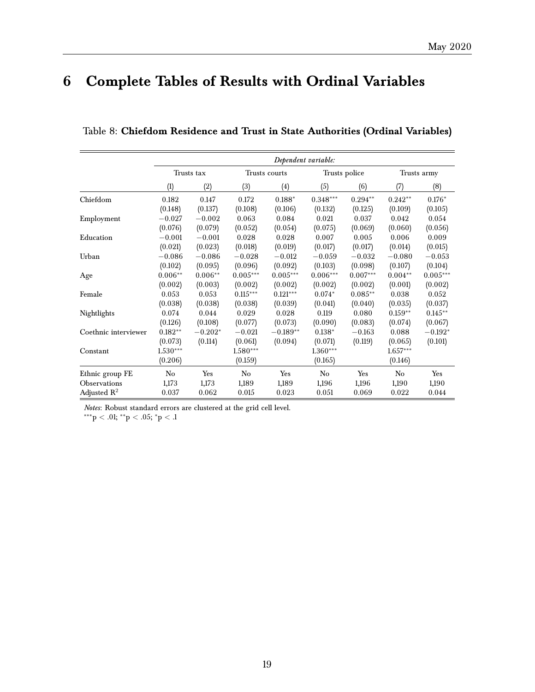## <span id="page-18-0"></span>**6 Complete Tables of Results with Ordinal Variables**

|                         |            |            |            | Dependent variable: |            |               |            |             |
|-------------------------|------------|------------|------------|---------------------|------------|---------------|------------|-------------|
|                         |            | Trusts tax |            | Trusts courts       |            | Trusts police |            | Trusts army |
|                         | (1)        | (2)        | (3)        | (4)                 | (5)        | (6)           | (7)        | (8)         |
| Chiefdom                | 0.182      | 0.147      | 0.172      | $0.188*$            | $0.348***$ | $0.294**$     | $0.242**$  | $0.176*$    |
|                         | (0.148)    | (0.137)    | (0.108)    | (0.106)             | (0.132)    | (0.125)       | (0.109)    | (0.105)     |
| Employment              | $-0.027$   | $-0.002$   | 0.063      | 0.084               | 0.021      | 0.037         | 0.042      | 0.054       |
|                         | (0.076)    | (0.079)    | (0.052)    | (0.054)             | (0.075)    | (0.069)       | (0.060)    | (0.056)     |
| Education               | $-0.001$   | $-0.001$   | 0.028      | 0.028               | 0.007      | 0.005         | 0.006      | 0.009       |
|                         | (0.021)    | (0.023)    | (0.018)    | (0.019)             | (0.017)    | (0.017)       | (0.014)    | (0.015)     |
| Urban                   | $-0.086$   | $-0.086$   | $-0.028$   | $-0.012$            | $-0.059$   | $-0.032$      | $-0.080$   | $-0.053$    |
|                         | (0.102)    | (0.095)    | (0.096)    | (0.092)             | (0.103)    | (0.098)       | (0.107)    | (0.104)     |
| Age                     | $0.006**$  | $0.006**$  | $0.005***$ | $0.005***$          | $0.006***$ | $0.007***$    | $0.004**$  | $0.005***$  |
|                         | (0.002)    | (0.003)    | (0.002)    | (0.002)             | (0.002)    | (0.002)       | (0.001)    | (0.002)     |
| Female                  | 0.053      | 0.053      | $0.115***$ | $0.121***$          | $0.074*$   | $0.085**$     | 0.038      | 0.052       |
|                         | (0.038)    | (0.038)    | (0.038)    | (0.039)             | (0.041)    | (0.040)       | (0.035)    | (0.037)     |
| Nightlights             | 0.074      | 0.044      | 0.029      | 0.028               | 0.119      | 0.080         | $0.159**$  | $0.145***$  |
|                         | (0.126)    | (0.108)    | (0.077)    | (0.073)             | (0.090)    | (0.083)       | (0.074)    | (0.067)     |
| Coethnic interviewer    | $0.182**$  | $-0.202*$  | $-0.021$   | $-0.189**$          | $0.138*$   | $-0.163$      | 0.088      | $-0.192*$   |
|                         | (0.073)    | (0.114)    | (0.061)    | (0.094)             | (0.071)    | (0.119)       | (0.065)    | (0.101)     |
| Constant                | $1.530***$ |            | $1.580***$ |                     | $1.360***$ |               | $1.657***$ |             |
|                         | (0.206)    |            | (0.159)    |                     | (0.165)    |               | (0.146)    |             |
| Ethnic group FE         | No         | Yes        | No         | Yes                 | No         | Yes           | No         | Yes         |
| Observations            | 1,173      | 1,173      | 1,189      | 1,189               | 1,196      | 1,196         | 1,190      | 1,190       |
| Adjusted $\mathbb{R}^2$ | 0.037      | 0.062      | 0.015      | 0.023               | 0.051      | 0.069         | 0.022      | 0.044       |

Table 8: **Chiefdom Residence and Trust in State Authorities (Ordinal Variables)**

*Notes*: Robust standard errors are clustered at the grid cell level.

 $x^{***}p < .01;$   $^{**}p < .05;$   $^*p < .1$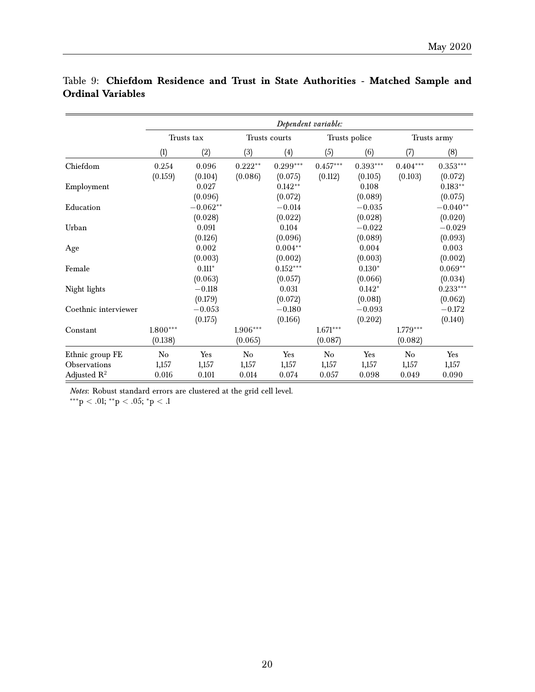|                      |            | Dependent variable: |           |               |            |               |            |             |  |  |
|----------------------|------------|---------------------|-----------|---------------|------------|---------------|------------|-------------|--|--|
|                      |            | Trusts tax          |           | Trusts courts |            | Trusts police |            | Trusts army |  |  |
|                      | (1)        | (2)                 | (3)       | (4)           | (5)        | (6)           | (7)        | (8)         |  |  |
| Chiefdom             | 0.254      | 0.096               | $0.222**$ | $0.299***$    | $0.457***$ | $0.393***$    | $0.404***$ | $0.353***$  |  |  |
|                      | (0.159)    | (0.104)             | (0.086)   | (0.075)       | (0.112)    | (0.105)       | (0.103)    | (0.072)     |  |  |
| Employment           |            | 0.027               |           | $0.142**$     |            | 0.108         |            | $0.183**$   |  |  |
|                      |            | (0.096)             |           | (0.072)       |            | (0.089)       |            | (0.075)     |  |  |
| Education            |            | $-0.062**$          |           | $-0.014$      |            | $-0.035$      |            | $-0.040**$  |  |  |
|                      |            | (0.028)             |           | (0.022)       |            | (0.028)       |            | (0.020)     |  |  |
| Urban                |            | 0.091               |           | 0.104         |            | $-0.022$      |            | $-0.029$    |  |  |
|                      |            | (0.126)             |           | (0.096)       |            | (0.089)       |            | (0.093)     |  |  |
| Age                  |            | 0.002               |           | $0.004**$     |            | 0.004         |            | 0.003       |  |  |
|                      |            | (0.003)             |           | (0.002)       |            | (0.003)       |            | (0.002)     |  |  |
| Female               |            | $0.111*$            |           | $0.152***$    |            | $0.130*$      |            | $0.069**$   |  |  |
|                      |            | (0.063)             |           | (0.057)       |            | (0.066)       |            | (0.034)     |  |  |
| Night lights         |            | $-0.118$            |           | 0.031         |            | $0.142*$      |            | $0.233***$  |  |  |
|                      |            | (0.179)             |           | (0.072)       |            | (0.081)       |            | (0.062)     |  |  |
| Coethnic interviewer |            | $-0.053$            |           | $-0.180$      |            | $-0.093$      |            | $-0.172$    |  |  |
|                      |            | (0.175)             |           | (0.166)       |            | (0.202)       |            | (0.140)     |  |  |
| Constant             | $1.800***$ |                     | 1.906***  |               | $1.671***$ |               | $1.779***$ |             |  |  |
|                      | (0.138)    |                     | (0.065)   |               | (0.087)    |               | (0.082)    |             |  |  |
| Ethnic group FE      | No         | Yes                 | No        | Yes           | No         | Yes           | No         | Yes         |  |  |
| Observations         | 1,157      | 1,157               | 1,157     | 1,157         | 1,157      | 1,157         | 1,157      | 1,157       |  |  |
| Adjusted $R^2$       | 0.016      | 0.101               | 0.014     | 0.074         | 0.057      | 0.098         | 0.049      | 0.090       |  |  |

## Table 9: **Chiefdom Residence and Trust in State Authorities - Matched Sample and Ordinal Variables**

*Notes*: Robust standard errors are clustered at the grid cell level.

\*\*\*p < .01; \*\*p < .05; \*p < .1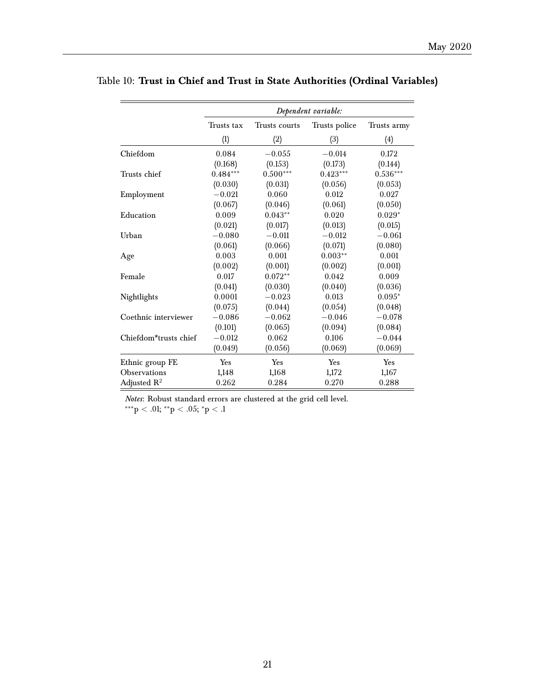|                       |            |               | Dependent variable: |             |
|-----------------------|------------|---------------|---------------------|-------------|
|                       | Trusts tax | Trusts courts | Trusts police       | Trusts army |
|                       | (1)        | (2)           | (3)                 | (4)         |
| Chiefdom              | 0.084      | $-0.055$      | $-0.014$            | 0.172       |
|                       | (0.168)    | (0.153)       | (0.173)             | (0.144)     |
| Trusts chief          | $0.484***$ | $0.500***$    | $0.423***$          | $0.536***$  |
|                       | (0.030)    | (0.031)       | (0.056)             | (0.053)     |
| Employment            | $-0.021$   | 0.060         | 0.012               | 0.027       |
|                       | (0.067)    | (0.046)       | (0.061)             | (0.050)     |
| Education             | 0.009      | $0.043**$     | 0.020               | $0.029*$    |
|                       | (0.021)    | (0.017)       | (0.013)             | (0.015)     |
| Urban                 | $-0.080$   | $-0.011$      | $-0.012$            | $-0.061$    |
|                       | (0.061)    | (0.066)       | (0.071)             | (0.080)     |
| Age                   | 0.003      | 0.001         | $0.003**$           | 0.001       |
|                       | (0.002)    | (0.001)       | (0.002)             | (0.001)     |
| Female                | 0.017      | $0.072**$     | 0.042               | 0.009       |
|                       | (0.041)    | (0.030)       | (0.040)             | (0.036)     |
| Nightlights           | 0.0001     | $-0.023$      | 0.013               | $0.095*$    |
|                       | (0.075)    | (0.044)       | (0.054)             | (0.048)     |
| Coethnic interviewer  | $-0.086$   | $-0.062$      | $-0.046$            | $-0.078$    |
|                       | (0.101)    | (0.065)       | (0.094)             | (0.084)     |
| Chiefdom*trusts chief | $-0.012$   | 0.062         | 0.106               | $-0.044$    |
|                       | (0.049)    | (0.056)       | (0.069)             | (0.069)     |
| Ethnic group FE       | Yes        | Yes           | Yes                 | Yes         |
| Observations          | 1,148      | 1,168         | 1,172               | 1,167       |
| Adjusted $R^2$        | 0.262      | 0.284         | 0.270               | 0.288       |

## Table 10: **Trust in Chief and Trust in State Authorities (Ordinal Variables)**

*Notes*: Robust standard errors are clustered at the grid cell level.

 $^{***}p < .01; ^{**}p < .05; ^{*}p < .1$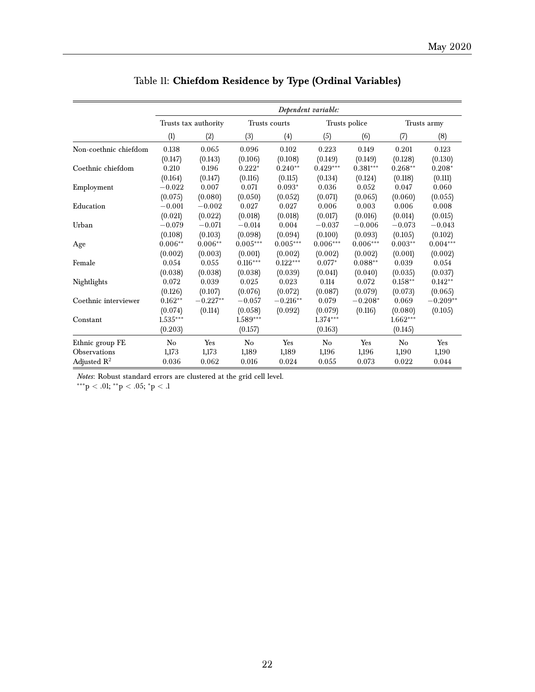|                         |            |                      |            |                   | Dependent variable: |               |             |            |
|-------------------------|------------|----------------------|------------|-------------------|---------------------|---------------|-------------|------------|
|                         |            | Trusts tax authority |            | Trusts courts     |                     | Trusts police | Trusts army |            |
|                         | (1)        | (2)                  | (3)        | $\left( 4\right)$ | (5)                 | (6)           | (7)         | (8)        |
| Non-coethnic chiefdom   | 0.138      | 0.065                | 0.096      | 0.102             | 0.223               | 0.149         | 0.201       | 0.123      |
|                         | (0.147)    | (0.143)              | (0.106)    | (0.108)           | (0.149)             | (0.149)       | (0.128)     | (0.130)    |
| Coethnic chiefdom       | 0.210      | 0.196                | $0.222*$   | $0.240**$         | $0.429***$          | $0.381***$    | $0.268**$   | $0.208*$   |
|                         | (0.164)    | (0.147)              | (0.116)    | (0.115)           | (0.134)             | (0.124)       | (0.118)     | (0.111)    |
| Employment              | $-0.022$   | 0.007                | 0.071      | $0.093*$          | 0.036               | 0.052         | 0.047       | 0.060      |
|                         | (0.075)    | (0.080)              | (0.050)    | (0.052)           | (0.071)             | (0.065)       | (0.060)     | (0.055)    |
| Education               | $-0.001$   | $-0.002$             | 0.027      | 0.027             | 0.006               | 0.003         | 0.006       | 0.008      |
|                         | (0.021)    | (0.022)              | (0.018)    | (0.018)           | (0.017)             | (0.016)       | (0.014)     | (0.015)    |
| Urban                   | $-0.079$   | $-0.071$             | $-0.014$   | 0.004             | $-0.037$            | $-0.006$      | $-0.073$    | $-0.043$   |
|                         | (0.108)    | (0.103)              | (0.098)    | (0.094)           | (0.100)             | (0.093)       | (0.105)     | (0.102)    |
| Age                     | $0.006**$  | $0.006**$            | $0.005***$ | $0.005***$        | $0.006***$          | $0.006***$    | $0.003**$   | $0.004***$ |
|                         | (0.002)    | (0.003)              | (0.001)    | (0.002)           | (0.002)             | (0.002)       | (0.001)     | (0.002)    |
| Female                  | 0.054      | 0.055                | $0.116***$ | $0.122***$        | $0.077*$            | $0.088**$     | 0.039       | 0.054      |
|                         | (0.038)    | (0.038)              | (0.038)    | (0.039)           | (0.041)             | (0.040)       | (0.035)     | (0.037)    |
| Nightlights             | 0.072      | 0.039                | 0.025      | 0.023             | 0.114               | 0.072         | $0.158**$   | $0.142**$  |
|                         | (0.126)    | (0.107)              | (0.076)    | (0.072)           | (0.087)             | (0.079)       | (0.073)     | (0.065)    |
| Coethnic interviewer    | $0.162**$  | $-0.227**$           | $-0.057$   | $-0.216**$        | 0.079               | $-0.208*$     | 0.069       | $-0.209**$ |
|                         | (0.074)    | (0.114)              | (0.058)    | (0.092)           | (0.079)             | (0.116)       | (0.080)     | (0.105)    |
| Constant                | $1.535***$ |                      | $1.589***$ |                   | $1.374***$          |               | $1.662***$  |            |
|                         | (0.203)    |                      | (0.157)    |                   | (0.163)             |               | (0.145)     |            |
| Ethnic group FE         | No         | Yes                  | No         | Yes               | No                  | Yes           | No          | Yes        |
| Observations            | 1,173      | 1,173                | 1,189      | 1,189             | 1,196               | 1,196         | 1,190       | 1,190      |
| Adjusted $\mathbb{R}^2$ | 0.036      | 0.062                | 0.016      | 0.024             | 0.055               | 0.073         | 0.022       | 0.044      |

|  |  | Table 11: Chiefdom Residence by Type (Ordinal Variables) |  |  |  |  |  |
|--|--|----------------------------------------------------------|--|--|--|--|--|
|--|--|----------------------------------------------------------|--|--|--|--|--|

*Notes*: Robust standard errors are clustered at the grid cell level.

 $*^{**}p < .01; *^{*}p < .05; *p < .1$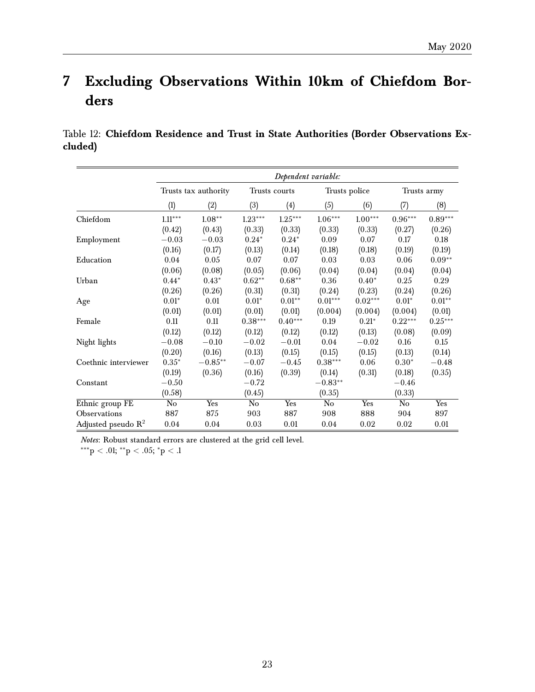## <span id="page-22-0"></span>**7 Excluding Observations Within 10km of Chiefdom Borders**

Table 12: **Chiefdom Residence and Trust in State Authorities (Border Observations Excluded)**

|                       | Dependent variable: |                      |           |               |               |           |           |             |
|-----------------------|---------------------|----------------------|-----------|---------------|---------------|-----------|-----------|-------------|
|                       |                     | Trusts tax authority |           | Trusts courts | Trusts police |           |           | Trusts army |
|                       | (1)                 | (2)                  | (3)       | (4)           | (5)           | (6)       | (7)       | (8)         |
| Chiefdom              | $1.11***$           | $1.08**$             | $1.23***$ | $1.25***$     | $1.06***$     | $1.00***$ | $0.96***$ | $0.89***$   |
|                       | (0.42)              | (0.43)               | (0.33)    | (0.33)        | (0.33)        | (0.33)    | (0.27)    | (0.26)      |
| Employment            | $-0.03$             | $-0.03$              | $0.24*$   | $0.24*$       | 0.09          | 0.07      | 0.17      | 0.18        |
|                       | (0.16)              | (0.17)               | (0.13)    | (0.14)        | (0.18)        | (0.18)    | (0.19)    | (0.19)      |
| Education             | 0.04                | 0.05                 | 0.07      | 0.07          | 0.03          | 0.03      | 0.06      | $0.09**$    |
|                       | (0.06)              | (0.08)               | (0.05)    | (0.06)        | (0.04)        | (0.04)    | (0.04)    | (0.04)      |
| Urban                 | $0.44*$             | $0.43*$              | $0.62**$  | $0.68**$      | 0.36          | $0.40*$   | 0.25      | 0.29        |
|                       | (0.26)              | (0.26)               | (0.31)    | (0.31)        | (0.24)        | (0.23)    | (0.24)    | (0.26)      |
| Age                   | $0.01*$             | 0.01                 | $0.01*$   | $0.01**$      | $0.01***$     | $0.02***$ | $0.01*$   | $0.01**$    |
|                       | (0.01)              | (0.01)               | (0.01)    | (0.01)        | (0.004)       | (0.004)   | (0.004)   | (0.01)      |
| Female                | 0.11                | 0.11                 | $0.38***$ | $0.40***$     | 0.19          | $0.21*$   | $0.22***$ | $0.25***$   |
|                       | (0.12)              | (0.12)               | (0.12)    | (0.12)        | (0.12)        | (0.13)    | (0.08)    | (0.09)      |
| Night lights          | $-0.08$             | $-0.10$              | $-0.02$   | $-0.01$       | 0.04          | $-0.02$   | 0.16      | $0.15\,$    |
|                       | (0.20)              | (0.16)               | (0.13)    | (0.15)        | (0.15)        | (0.15)    | (0.13)    | (0.14)      |
| Coethnic interviewer  | $0.35*$             | $-0.85**$            | $-0.07$   | $-0.45$       | $0.38***$     | 0.06      | $0.30*$   | $-0.48$     |
|                       | (0.19)              | (0.36)               | (0.16)    | (0.39)        | (0.14)        | (0.31)    | (0.18)    | (0.35)      |
| Constant              | $-0.50$             |                      | $-0.72$   |               | $-0.83**$     |           | $-0.46$   |             |
|                       | (0.58)              |                      | (0.45)    |               | (0.35)        |           | (0.33)    |             |
| Ethnic group FE       | No                  | Yes                  | No        | Yes           | $\rm No$      | Yes       | No        | Yes         |
| Observations          | 887                 | 875                  | 903       | 887           | 908           | 888       | 904       | 897         |
| Adjusted pseudo $R^2$ | 0.04                | 0.04                 | 0.03      | 0.01          | 0.04          | 0.02      | 0.02      | 0.01        |

*Notes*: Robust standard errors are clustered at the grid cell level.

 $***p < .01; **p < .05; *p < .1$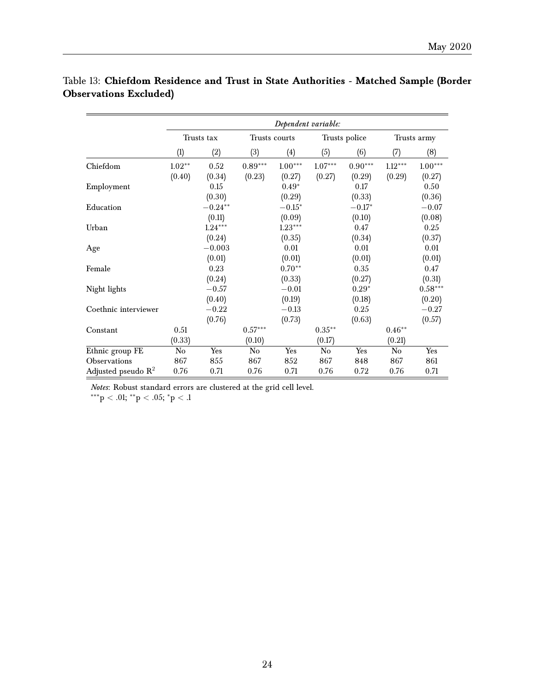|                                | Dependent variable: |           |           |               |           |               |           |             |  |
|--------------------------------|---------------------|-----------|-----------|---------------|-----------|---------------|-----------|-------------|--|
|                                | Trusts tax          |           |           | Trusts courts |           | Trusts police |           | Trusts army |  |
|                                | (1)                 | (2)       | (3)       | (4)           | (5)       | (6)           | (7)       | (8)         |  |
| Chiefdom                       | $1.02**$            | 0.52      | $0.89***$ | $1.00***$     | $1.07***$ | $0.90***$     | $1.12***$ | $1.00***$   |  |
|                                | (0.40)              | (0.34)    | (0.23)    | (0.27)        | (0.27)    | (0.29)        | (0.29)    | (0.27)      |  |
| Employment                     |                     | 0.15      |           | $0.49*$       |           | 0.17          |           | 0.50        |  |
|                                |                     | (0.30)    |           | (0.29)        |           | (0.33)        |           | (0.36)      |  |
| Education                      |                     | $-0.24**$ |           | $-0.15*$      |           | $-0.17*$      |           | $-0.07$     |  |
|                                |                     | (0.11)    |           | (0.09)        |           | (0.10)        |           | (0.08)      |  |
| Urban                          |                     | $1.24***$ |           | $1.23***$     |           | 0.47          |           | 0.25        |  |
|                                |                     | (0.24)    |           | (0.35)        |           | (0.34)        |           | (0.37)      |  |
| Age                            |                     | $-0.003$  |           | 0.01          |           | 0.01          |           | 0.01        |  |
|                                |                     | (0.01)    |           | (0.01)        |           | (0.01)        |           | (0.01)      |  |
| Female                         |                     | 0.23      |           | $0.70**$      |           | 0.35          |           | 0.47        |  |
|                                |                     | (0.24)    |           | (0.33)        |           | (0.27)        |           | (0.31)      |  |
| Night lights                   |                     | $-0.57$   |           | $-0.01$       |           | $0.29*$       |           | $0.58***$   |  |
|                                |                     | (0.40)    |           | (0.19)        |           | (0.18)        |           | (0.20)      |  |
| Coethnic interviewer           |                     | $-0.22$   |           | $-0.13$       |           | 0.25          |           | $-0.27$     |  |
|                                |                     | (0.76)    |           | (0.73)        |           | (0.63)        |           | (0.57)      |  |
| Constant                       | 0.51                |           | $0.57***$ |               | $0.35***$ |               | $0.46**$  |             |  |
|                                | (0.33)              |           | (0.10)    |               | (0.17)    |               | (0.21)    |             |  |
| Ethnic group FE                | No                  | Yes       | No        | Yes           | No        | Yes           | No        | Yes         |  |
| Observations                   | 867                 | 855       | 867       | 852           | 867       | 848           | 867       | 861         |  |
| Adjusted pseudo $\mathbb{R}^2$ | 0.76                | 0.71      | 0.76      | 0.71          | 0.76      | 0.72          | 0.76      | 0.71        |  |

## Table 13: **Chiefdom Residence and Trust in State Authorities - Matched Sample (Border Observations Excluded)**

*Notes*: Robust standard errors are clustered at the grid cell level.

 $^{***}\!p < .01;$   $^{**}\!p < .05;$   $^*p < .1$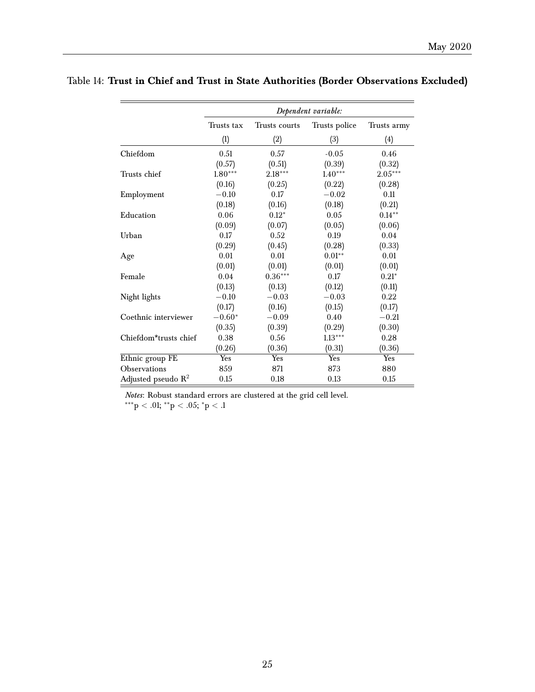|                                | Dependent variable: |               |               |             |  |  |  |
|--------------------------------|---------------------|---------------|---------------|-------------|--|--|--|
|                                | Trusts tax          | Trusts courts | Trusts police | Trusts army |  |  |  |
|                                | (1)                 | (2)           | (3)           | (4)         |  |  |  |
| Chiefdom                       | 0.51                | 0.57          | $-0.05$       | 0.46        |  |  |  |
|                                | (0.57)              | (0.51)        | (0.39)        | (0.32)      |  |  |  |
| Trusts chief                   | $1.80***$           | $2.18***$     | $1.40***$     | $2.05***$   |  |  |  |
|                                | (0.16)              | (0.25)        | (0.22)        | (0.28)      |  |  |  |
| Employment                     | $-0.10$             | 0.17          | $-0.02$       | 0.11        |  |  |  |
|                                | (0.18)              | (0.16)        | (0.18)        | (0.21)      |  |  |  |
| Education                      | 0.06                | $0.12*$       | 0.05          | $0.14***$   |  |  |  |
|                                | (0.09)              | (0.07)        | (0.05)        | (0.06)      |  |  |  |
| Urban                          | 0.17                | 0.52          | 0.19          | 0.04        |  |  |  |
|                                | (0.29)              | (0.45)        | (0.28)        | (0.33)      |  |  |  |
| Age                            | 0.01                | 0.01          | $0.01**$      | 0.01        |  |  |  |
|                                | (0.01)              | (0.01)        | (0.01)        | (0.01)      |  |  |  |
| Female                         | 0.04                | $0.36***$     | 0.17          | $0.21*$     |  |  |  |
|                                | (0.13)              | (0.13)        | (0.12)        | (0.11)      |  |  |  |
| Night lights                   | $-0.10$             | $-0.03$       | $-0.03$       | 0.22        |  |  |  |
|                                | (0.17)              | (0.16)        | (0.15)        | (0.17)      |  |  |  |
| Coethnic interviewer           | $-0.60*$            | $-0.09$       | 0.40          | $-0.21$     |  |  |  |
|                                | (0.35)              | (0.39)        | (0.29)        | (0.30)      |  |  |  |
| Chiefdom*trusts chief          | 0.38                | 0.56          | $1.13***$     | 0.28        |  |  |  |
|                                | (0.26)              | (0.36)        | (0.31)        | (0.36)      |  |  |  |
| Ethnic group FE                | Yes                 | Yes           | Yes           | Yes         |  |  |  |
| Observations                   | 859                 | 871           | 873           | 880         |  |  |  |
| Adjusted pseudo $\mathbb{R}^2$ | 0.15                | 0.18          | 0.13          | 0.15        |  |  |  |

## Table 14: **Trust in Chief and Trust in State Authorities (Border Observations Excluded)**

*Notes*: Robust standard errors are clustered at the grid cell level.

 $^{***}\rm{p}$   $<$  .01;  $^{**}\rm{p}$   $<$  .05;  $^{*}\rm{p}$   $<$  .1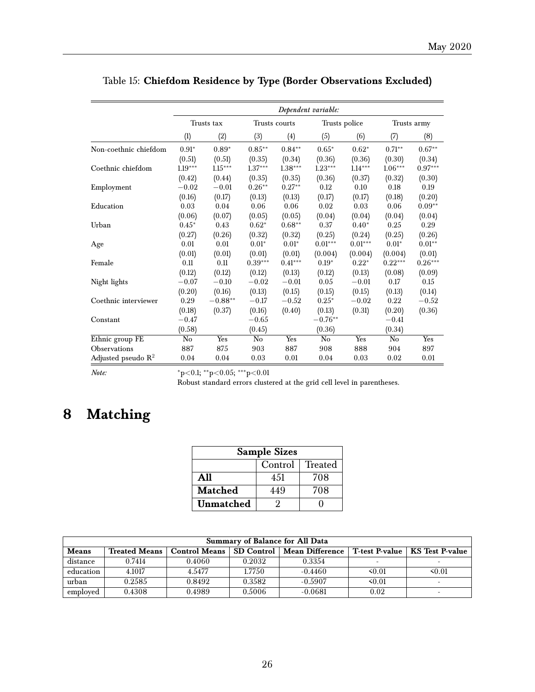|                                | Dependent variable: |           |               |           |                |           |             |           |
|--------------------------------|---------------------|-----------|---------------|-----------|----------------|-----------|-------------|-----------|
|                                | Trusts tax          |           | Trusts courts |           | Trusts police  |           | Trusts army |           |
|                                | (1)                 | (2)       | (3)           | (4)       | (5)            | (6)       | (7)         | (8)       |
| Non-coethnic chiefdom          | $0.91*$             | $0.89*$   | $0.85***$     | $0.84***$ | $0.65*$        | $0.62*$   | $0.71***$   | $0.67**$  |
|                                | (0.51)              | (0.51)    | (0.35)        | (0.34)    | (0.36)         | (0.36)    | (0.30)      | (0.34)    |
| Coethnic chiefdom              | $1.19***$           | $1.15***$ | $1.37***$     | $1.38***$ | $1.23***$      | $1.14***$ | $1.06***$   | $0.97***$ |
|                                | (0.42)              | (0.44)    | (0.35)        | (0.35)    | (0.36)         | (0.37)    | (0.32)      | (0.30)    |
| Employment                     | $-0.02$             | $-0.01$   | $0.26***$     | $0.27**$  | 0.12           | 0.10      | 0.18        | 0.19      |
|                                | (0.16)              | (0.17)    | (0.13)        | (0.13)    | (0.17)         | (0.17)    | (0.18)      | (0.20)    |
| Education                      | 0.03                | 0.04      | 0.06          | 0.06      | 0.02           | 0.03      | 0.06        | $0.09**$  |
|                                | (0.06)              | (0.07)    | (0.05)        | (0.05)    | (0.04)         | (0.04)    | (0.04)      | (0.04)    |
| Urban                          | $0.45*$             | 0.43      | $0.62*$       | $0.68**$  | 0.37           | $0.40*$   | 0.25        | 0.29      |
|                                | (0.27)              | (0.26)    | (0.32)        | (0.32)    | (0.25)         | (0.24)    | (0.25)      | (0.26)    |
| Age                            | 0.01                | 0.01      | $0.01*$       | $0.01*$   | $0.01***$      | $0.01***$ | $0.01*$     | $0.01**$  |
|                                | (0.01)              | (0.01)    | (0.01)        | (0.01)    | (0.004)        | (0.004)   | (0.004)     | (0.01)    |
| Female                         | 0.11                | 0.11      | $0.39***$     | $0.41***$ | $0.19*$        | $0.22*$   | $0.22***$   | $0.26***$ |
|                                | (0.12)              | (0.12)    | (0.12)        | (0.13)    | (0.12)         | (0.13)    | (0.08)      | (0.09)    |
| Night lights                   | $-0.07$             | $-0.10$   | $-0.02$       | $-0.01$   | 0.05           | $-0.01$   | 0.17        | 0.15      |
|                                | (0.20)              | (0.16)    | (0.13)        | (0.15)    | (0.15)         | (0.15)    | (0.13)      | (0.14)    |
| Coethnic interviewer           | 0.29                | $-0.88**$ | $-0.17$       | $-0.52$   | $0.25*$        | $-0.02$   | 0.22        | $-0.52$   |
|                                | (0.18)              | (0.37)    | (0.16)        | (0.40)    | (0.13)         | (0.31)    | (0.20)      | (0.36)    |
| Constant                       | $-0.47$             |           | $-0.65$       |           | $-0.76**$      |           | $-0.41$     |           |
|                                | (0.58)              |           | (0.45)        |           | (0.36)         |           | (0.34)      |           |
| Ethnic group FE                | No                  | Yes       | No            | Yes       | N <sub>o</sub> | Yes       | No          | Yes       |
| Observations                   | 887                 | 875       | 903           | 887       | 908            | 888       | 904         | 897       |
| Adjusted pseudo $\mathbb{R}^2$ | 0.04                | 0.04      | 0.03          | 0.01      | 0.04           | 0.03      | 0.02        | 0.01      |

Table 15: **Chiefdom Residence by Type (Border Observations Excluded)**

*Note:* \*p<0.1; \*\*p<0.05; \*\*\*p<0.01

Robust standard errors clustered at the grid cell level in parentheses.

## <span id="page-25-0"></span>**8 Matching**

| <b>Sample Sizes</b>       |     |     |  |  |  |  |  |  |
|---------------------------|-----|-----|--|--|--|--|--|--|
| Control<br><b>Treated</b> |     |     |  |  |  |  |  |  |
| A11                       | 451 | 708 |  |  |  |  |  |  |
| <b>Matched</b>            | 449 | 708 |  |  |  |  |  |  |
| Unmatched                 |     |     |  |  |  |  |  |  |

| Summary of Balance for All Data |                      |                      |        |                              |                          |                                  |  |  |  |
|---------------------------------|----------------------|----------------------|--------|------------------------------|--------------------------|----------------------------------|--|--|--|
| <b>Means</b>                    | <b>Treated Means</b> | <b>Control Means</b> |        | SD Control   Mean Difference |                          | T-test P-value   KS Test P-value |  |  |  |
| distance                        | 0.7414               | 0.4060               | 0.2032 | 0.3354                       | $\overline{\phantom{0}}$ |                                  |  |  |  |
| education                       | 4.1017               | 4.5477               | 1.7750 | $-0.4460$                    | 50.01                    | 50.01                            |  |  |  |
| urban                           | 0.2585               | 0.8492               | 0.3582 | $-0.5907$                    | 50.01                    |                                  |  |  |  |
| employed                        | 0.4308               | 0.4989               | 0.5006 | $-0.0681$                    | 0.02                     |                                  |  |  |  |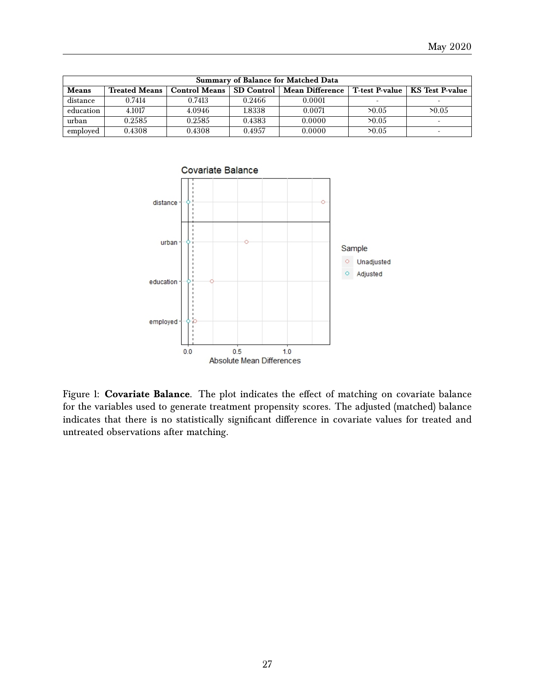| Summary of Balance for Matched Data |                                                                                                                          |        |        |        |                          |                          |  |  |  |
|-------------------------------------|--------------------------------------------------------------------------------------------------------------------------|--------|--------|--------|--------------------------|--------------------------|--|--|--|
| <b>Means</b>                        | SD Control<br>T-test P-value   KS Test P-value<br><b>Mean Difference</b><br><b>Treated Means</b><br><b>Control Means</b> |        |        |        |                          |                          |  |  |  |
| distance                            | 0.7414                                                                                                                   | 0.7413 | 0.2466 | 0.0001 | $\overline{\phantom{0}}$ | $\overline{\phantom{0}}$ |  |  |  |
| education                           | 4.1017                                                                                                                   | 4.0946 | 1.8338 | 0.0071 | >0.05                    | >0.05                    |  |  |  |
| urban                               | 0.2585                                                                                                                   | 0.2585 | 0.4383 | 0.0000 | >0.05                    | $\overline{\phantom{0}}$ |  |  |  |
| employed                            | 0.4308                                                                                                                   | 0.4308 | 0.4957 | 0.0000 | >0.05                    | $\overline{\phantom{0}}$ |  |  |  |



Figure 1: **Covariate Balance**. The plot indicates the effect of matching on covariate balance for the variables used to generate treatment propensity scores. The adjusted (matched) balance indicates that there is no statistically significant difference in covariate values for treated and untreated observations after matching.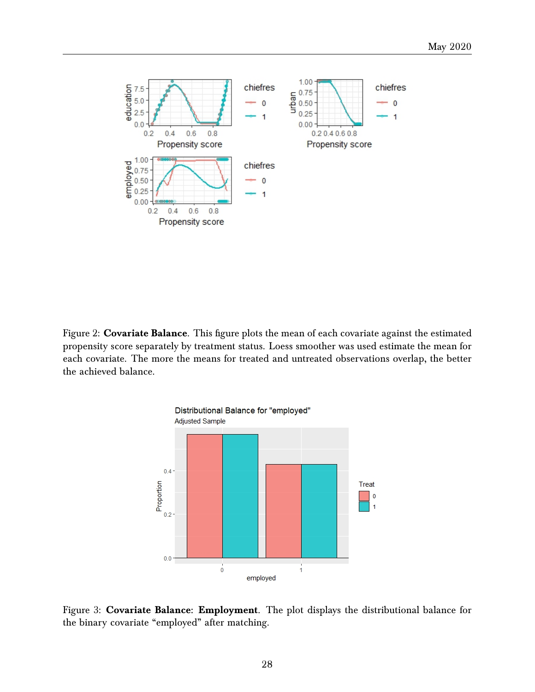

Figure 2: **Covariate Balance**. This figure plots the mean of each covariate against the estimated propensity score separately by treatment status. Loess smoother was used estimate the mean for each covariate. The more the means for treated and untreated observations overlap, the better the achieved balance.



Figure 3: **Covariate Balance: Employment**. The plot displays the distributional balance for the binary covariate "employed" after matching.